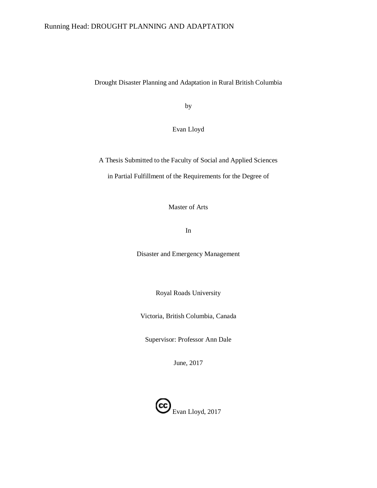## Running Head: DROUGHT PLANNING AND ADAPTATION

Drought Disaster Planning and Adaptation in Rural British Columbia

by

Evan Lloyd

A Thesis Submitted to the Faculty of Social and Applied Sciences in Partial Fulfillment of the Requirements for the Degree of

Master of Arts

In

Disaster and Emergency Management

Royal Roads University

Victoria, British Columbia, Canada

Supervisor: Professor Ann Dale

June, 2017

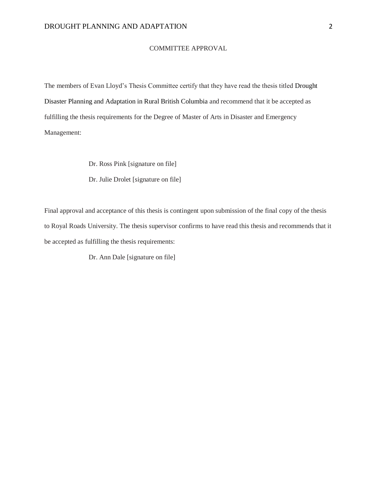## COMMITTEE APPROVAL

The members of Evan Lloyd's Thesis Committee certify that they have read the thesis titled Drought Disaster Planning and Adaptation in Rural British Columbia and recommend that it be accepted as fulfilling the thesis requirements for the Degree of Master of Arts in Disaster and Emergency Management:

Dr. Ross Pink [signature on file]

Dr. Julie Drolet [signature on file]

Final approval and acceptance of this thesis is contingent upon submission of the final copy of the thesis to Royal Roads University. The thesis supervisor confirms to have read this thesis and recommends that it be accepted as fulfilling the thesis requirements:

Dr. Ann Dale [signature on file]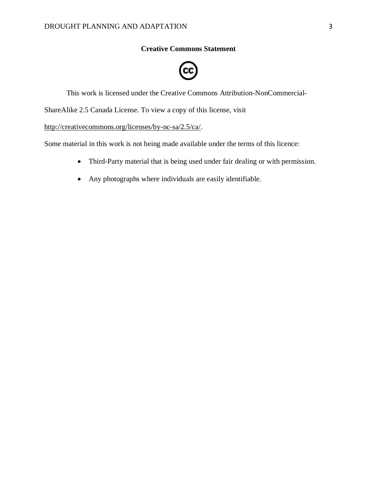## **Creative Commons Statement**



<span id="page-2-0"></span>This work is licensed under the Creative Commons Attribution-NonCommercial-

ShareAlike 2.5 Canada License. To view a copy of this license, visit

http://creativecommons.org/licenses/by-nc-sa/2.5/ca/.

Some material in this work is not being made available under the terms of this licence:

- Third-Party material that is being used under fair dealing or with permission.
- Any photographs where individuals are easily identifiable.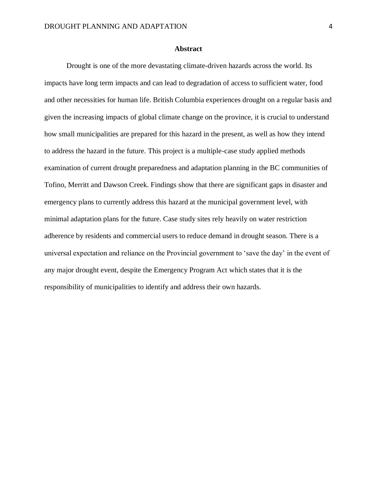## **Abstract**

<span id="page-3-0"></span>Drought is one of the more devastating climate-driven hazards across the world. Its impacts have long term impacts and can lead to degradation of access to sufficient water, food and other necessities for human life. British Columbia experiences drought on a regular basis and given the increasing impacts of global climate change on the province, it is crucial to understand how small municipalities are prepared for this hazard in the present, as well as how they intend to address the hazard in the future. This project is a multiple-case study applied methods examination of current drought preparedness and adaptation planning in the BC communities of Tofino, Merritt and Dawson Creek. Findings show that there are significant gaps in disaster and emergency plans to currently address this hazard at the municipal government level, with minimal adaptation plans for the future. Case study sites rely heavily on water restriction adherence by residents and commercial users to reduce demand in drought season. There is a universal expectation and reliance on the Provincial government to 'save the day' in the event of any major drought event, despite the Emergency Program Act which states that it is the responsibility of municipalities to identify and address their own hazards.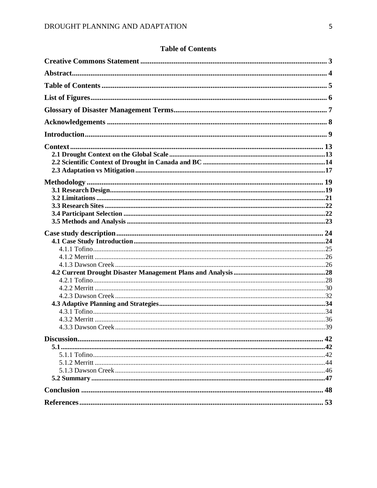# <span id="page-4-0"></span>**Table of Contents**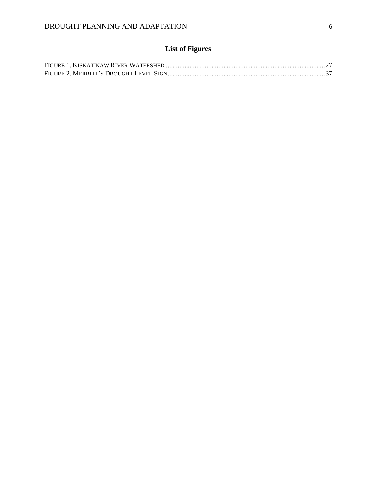# **List of Figures**

<span id="page-5-0"></span>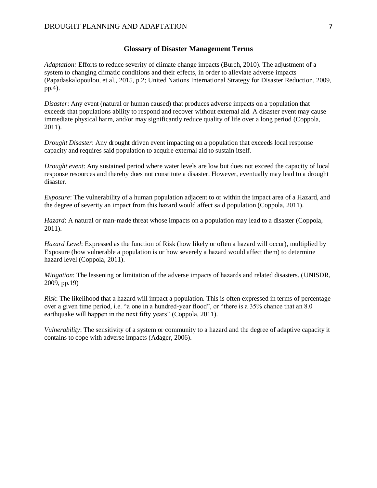## **Glossary of Disaster Management Terms**

<span id="page-6-0"></span>*Adaptation:* Efforts to reduce severity of climate change impacts (Burch, 2010). The adjustment of a system to changing climatic conditions and their effects, in order to alleviate adverse impacts (Papadaskalopoulou, et al., 2015, p.2; United Nations International Strategy for Disaster Reduction, 2009, pp.4).

*Disaster*: Any event (natural or human caused) that produces adverse impacts on a population that exceeds that populations ability to respond and recover without external aid. A disaster event may cause immediate physical harm, and/or may significantly reduce quality of life over a long period (Coppola, 2011).

*Drought Disaster*: Any drought driven event impacting on a population that exceeds local response capacity and requires said population to acquire external aid to sustain itself.

*Drought event*: Any sustained period where water levels are low but does not exceed the capacity of local response resources and thereby does not constitute a disaster. However, eventually may lead to a drought disaster.

*Exposure*: The vulnerability of a human population adjacent to or within the impact area of a Hazard, and the degree of severity an impact from this hazard would affect said population (Coppola, 2011).

*Hazard*: A natural or man-made threat whose impacts on a population may lead to a disaster (Coppola, 2011).

*Hazard Level*: Expressed as the function of Risk (how likely or often a hazard will occur), multiplied by Exposure (how vulnerable a population is or how severely a hazard would affect them) to determine hazard level (Coppola, 2011).

*Mitigation*: The lessening or limitation of the adverse impacts of hazards and related disasters. (UNISDR, 2009, pp.19)

*Risk*: The likelihood that a hazard will impact a population. This is often expressed in terms of percentage over a given time period, i.e. "a one in a hundred-year flood", or "there is a 35% chance that an 8.0 earthquake will happen in the next fifty years" (Coppola, 2011).

*Vulnerability*: The sensitivity of a system or community to a hazard and the degree of adaptive capacity it contains to cope with adverse impacts (Adager, 2006).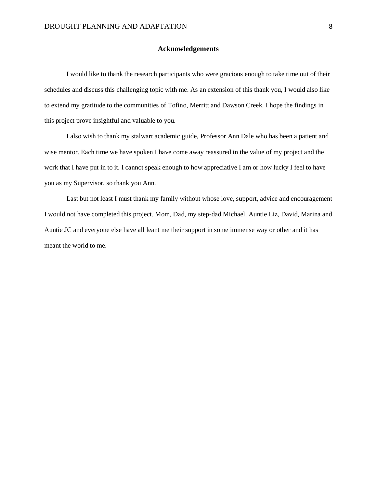## **Acknowledgements**

<span id="page-7-0"></span>I would like to thank the research participants who were gracious enough to take time out of their schedules and discuss this challenging topic with me. As an extension of this thank you, I would also like to extend my gratitude to the communities of Tofino, Merritt and Dawson Creek. I hope the findings in this project prove insightful and valuable to you.

I also wish to thank my stalwart academic guide, Professor Ann Dale who has been a patient and wise mentor. Each time we have spoken I have come away reassured in the value of my project and the work that I have put in to it. I cannot speak enough to how appreciative I am or how lucky I feel to have you as my Supervisor, so thank you Ann.

Last but not least I must thank my family without whose love, support, advice and encouragement I would not have completed this project. Mom, Dad, my step-dad Michael, Auntie Liz, David, Marina and Auntie JC and everyone else have all leant me their support in some immense way or other and it has meant the world to me.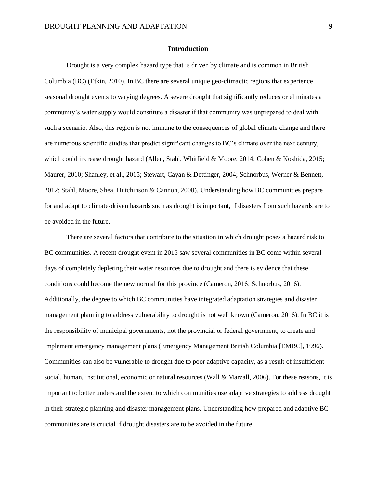## **Introduction**

<span id="page-8-0"></span>Drought is a very complex hazard type that is driven by climate and is common in British Columbia (BC) (Etkin, 2010). In BC there are several unique geo-climactic regions that experience seasonal drought events to varying degrees. A severe drought that significantly reduces or eliminates a community's water supply would constitute a disaster if that community was unprepared to deal with such a scenario. Also, this region is not immune to the consequences of global climate change and there are numerous scientific studies that predict significant changes to BC's climate over the next century, which could increase drought hazard (Allen, Stahl, Whitfield & Moore, 2014; Cohen & Koshida, 2015; Maurer, 2010; Shanley, et al., 2015; Stewart, Cayan & Dettinger, 2004; Schnorbus, Werner & Bennett, 2012; Stahl, Moore, Shea, Hutchinson & Cannon, 2008). Understanding how BC communities prepare for and adapt to climate-driven hazards such as drought is important, if disasters from such hazards are to be avoided in the future.

There are several factors that contribute to the situation in which drought poses a hazard risk to BC communities. A recent drought event in 2015 saw several communities in BC come within several days of completely depleting their water resources due to drought and there is evidence that these conditions could become the new normal for this province (Cameron, 2016; Schnorbus, 2016). Additionally, the degree to which BC communities have integrated adaptation strategies and disaster management planning to address vulnerability to drought is not well known (Cameron, 2016). In BC it is the responsibility of municipal governments, not the provincial or federal government, to create and implement emergency management plans (Emergency Management British Columbia [EMBC], 1996). Communities can also be vulnerable to drought due to poor adaptive capacity, as a result of insufficient social, human, institutional, economic or natural resources (Wall & Marzall, 2006). For these reasons, it is important to better understand the extent to which communities use adaptive strategies to address drought in their strategic planning and disaster management plans. Understanding how prepared and adaptive BC communities are is crucial if drought disasters are to be avoided in the future.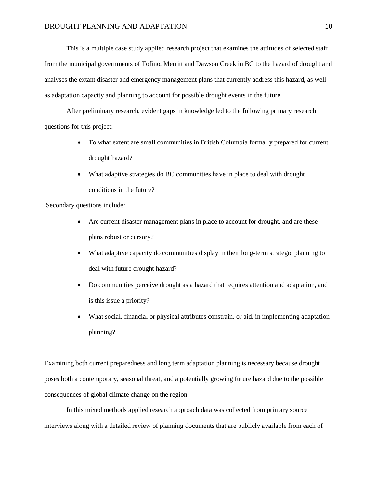This is a multiple case study applied research project that examines the attitudes of selected staff from the municipal governments of Tofino, Merritt and Dawson Creek in BC to the hazard of drought and analyses the extant disaster and emergency management plans that currently address this hazard, as well as adaptation capacity and planning to account for possible drought events in the future.

After preliminary research, evident gaps in knowledge led to the following primary research questions for this project:

- To what extent are small communities in British Columbia formally prepared for current drought hazard?
- What adaptive strategies do BC communities have in place to deal with drought conditions in the future?

Secondary questions include:

- Are current disaster management plans in place to account for drought, and are these plans robust or cursory?
- What adaptive capacity do communities display in their long-term strategic planning to deal with future drought hazard?
- Do communities perceive drought as a hazard that requires attention and adaptation, and is this issue a priority?
- What social, financial or physical attributes constrain, or aid, in implementing adaptation planning?

Examining both current preparedness and long term adaptation planning is necessary because drought poses both a contemporary, seasonal threat, and a potentially growing future hazard due to the possible consequences of global climate change on the region.

In this mixed methods applied research approach data was collected from primary source interviews along with a detailed review of planning documents that are publicly available from each of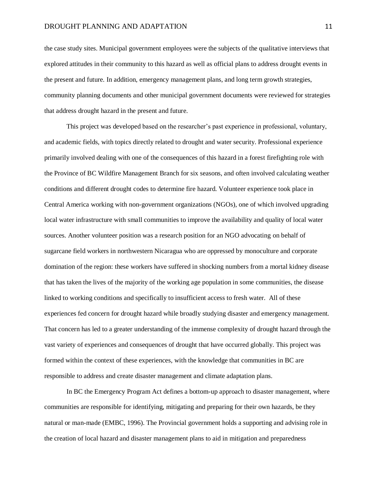the case study sites. Municipal government employees were the subjects of the qualitative interviews that explored attitudes in their community to this hazard as well as official plans to address drought events in the present and future. In addition, emergency management plans, and long term growth strategies, community planning documents and other municipal government documents were reviewed for strategies that address drought hazard in the present and future.

This project was developed based on the researcher's past experience in professional, voluntary, and academic fields, with topics directly related to drought and water security. Professional experience primarily involved dealing with one of the consequences of this hazard in a forest firefighting role with the Province of BC Wildfire Management Branch for six seasons, and often involved calculating weather conditions and different drought codes to determine fire hazard. Volunteer experience took place in Central America working with non-government organizations (NGOs), one of which involved upgrading local water infrastructure with small communities to improve the availability and quality of local water sources. Another volunteer position was a research position for an NGO advocating on behalf of sugarcane field workers in northwestern Nicaragua who are oppressed by monoculture and corporate domination of the region: these workers have suffered in shocking numbers from a mortal kidney disease that has taken the lives of the majority of the working age population in some communities, the disease linked to working conditions and specifically to insufficient access to fresh water. All of these experiences fed concern for drought hazard while broadly studying disaster and emergency management. That concern has led to a greater understanding of the immense complexity of drought hazard through the vast variety of experiences and consequences of drought that have occurred globally. This project was formed within the context of these experiences, with the knowledge that communities in BC are responsible to address and create disaster management and climate adaptation plans.

In BC the Emergency Program Act defines a bottom-up approach to disaster management, where communities are responsible for identifying, mitigating and preparing for their own hazards, be they natural or man-made (EMBC, 1996). The Provincial government holds a supporting and advising role in the creation of local hazard and disaster management plans to aid in mitigation and preparedness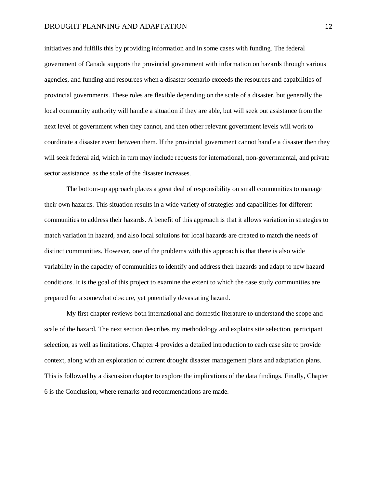#### DROUGHT PLANNING AND ADAPTATION 12

initiatives and fulfills this by providing information and in some cases with funding. The federal government of Canada supports the provincial government with information on hazards through various agencies, and funding and resources when a disaster scenario exceeds the resources and capabilities of provincial governments. These roles are flexible depending on the scale of a disaster, but generally the local community authority will handle a situation if they are able, but will seek out assistance from the next level of government when they cannot, and then other relevant government levels will work to coordinate a disaster event between them. If the provincial government cannot handle a disaster then they will seek federal aid, which in turn may include requests for international, non-governmental, and private sector assistance, as the scale of the disaster increases.

The bottom-up approach places a great deal of responsibility on small communities to manage their own hazards. This situation results in a wide variety of strategies and capabilities for different communities to address their hazards. A benefit of this approach is that it allows variation in strategies to match variation in hazard, and also local solutions for local hazards are created to match the needs of distinct communities. However, one of the problems with this approach is that there is also wide variability in the capacity of communities to identify and address their hazards and adapt to new hazard conditions. It is the goal of this project to examine the extent to which the case study communities are prepared for a somewhat obscure, yet potentially devastating hazard.

My first chapter reviews both international and domestic literature to understand the scope and scale of the hazard. The next section describes my methodology and explains site selection, participant selection, as well as limitations. Chapter 4 provides a detailed introduction to each case site to provide context, along with an exploration of current drought disaster management plans and adaptation plans. This is followed by a discussion chapter to explore the implications of the data findings. Finally, Chapter 6 is the Conclusion, where remarks and recommendations are made.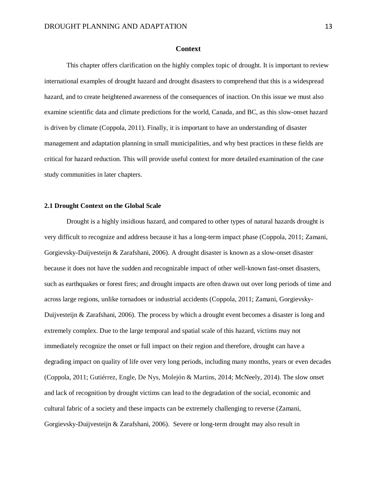## **Context**

<span id="page-12-0"></span>This chapter offers clarification on the highly complex topic of drought. It is important to review international examples of drought hazard and drought disasters to comprehend that this is a widespread hazard, and to create heightened awareness of the consequences of inaction. On this issue we must also examine scientific data and climate predictions for the world, Canada, and BC, as this slow-onset hazard is driven by climate (Coppola, 2011). Finally, it is important to have an understanding of disaster management and adaptation planning in small municipalities, and why best practices in these fields are critical for hazard reduction. This will provide useful context for more detailed examination of the case study communities in later chapters.

## <span id="page-12-1"></span>**2.1 Drought Context on the Global Scale**

Drought is a highly insidious hazard, and compared to other types of natural hazards drought is very difficult to recognize and address because it has a long-term impact phase (Coppola, 2011; Zamani, Gorgievsky-Duijvesteijn & Zarafshani, 2006). A drought disaster is known as a slow-onset disaster because it does not have the sudden and recognizable impact of other well-known fast-onset disasters, such as earthquakes or forest fires; and drought impacts are often drawn out over long periods of time and across large regions, unlike tornadoes or industrial accidents (Coppola, 2011; Zamani, Gorgievsky-Duijvesteijn & Zarafshani, 2006). The process by which a drought event becomes a disaster is long and extremely complex. Due to the large temporal and spatial scale of this hazard, victims may not immediately recognize the onset or full impact on their region and therefore, drought can have a degrading impact on quality of life over very long periods, including many months, years or even decades (Coppola, 2011; Gutiérrez, Engle, De Nys, Molejón & Martins, 2014; McNeely, 2014). The slow onset and lack of recognition by drought victims can lead to the degradation of the social, economic and cultural fabric of a society and these impacts can be extremely challenging to reverse (Zamani, Gorgievsky-Duijvesteijn & Zarafshani, 2006). Severe or long-term drought may also result in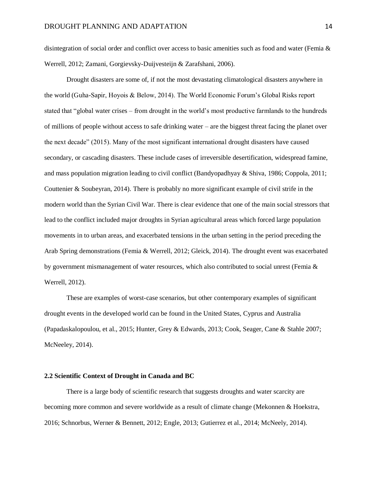disintegration of social order and conflict over access to basic amenities such as food and water (Femia & Werrell, 2012; Zamani, Gorgievsky-Duijvesteijn & Zarafshani, 2006).

Drought disasters are some of, if not the most devastating climatological disasters anywhere in the world (Guha-Sapir, Hoyois & Below, 2014). The World Economic Forum's Global Risks report stated that "global water crises – from drought in the world's most productive farmlands to the hundreds of millions of people without access to safe drinking water – are the biggest threat facing the planet over the next decade" (2015). Many of the most significant international drought disasters have caused secondary, or cascading disasters. These include cases of irreversible desertification, widespread famine, and mass population migration leading to civil conflict (Bandyopadhyay & Shiva, 1986; Coppola, 2011; Couttenier & Soubeyran, 2014). There is probably no more significant example of civil strife in the modern world than the Syrian Civil War. There is clear evidence that one of the main social stressors that lead to the conflict included major droughts in Syrian agricultural areas which forced large population movements in to urban areas, and exacerbated tensions in the urban setting in the period preceding the Arab Spring demonstrations (Femia & Werrell, 2012; Gleick, 2014). The drought event was exacerbated by government mismanagement of water resources, which also contributed to social unrest (Femia & Werrell, 2012).

These are examples of worst-case scenarios, but other contemporary examples of significant drought events in the developed world can be found in the United States, Cyprus and Australia (Papadaskalopoulou, et al., 2015; Hunter, Grey & Edwards, 2013; Cook, Seager, Cane & Stahle 2007; McNeeley, 2014).

## <span id="page-13-0"></span>**2.2 Scientific Context of Drought in Canada and BC**

There is a large body of scientific research that suggests droughts and water scarcity are becoming more common and severe worldwide as a result of climate change (Mekonnen & Hoekstra, 2016; Schnorbus, Werner & Bennett, 2012; Engle, 2013; Gutierrez et al., 2014; McNeely, 2014).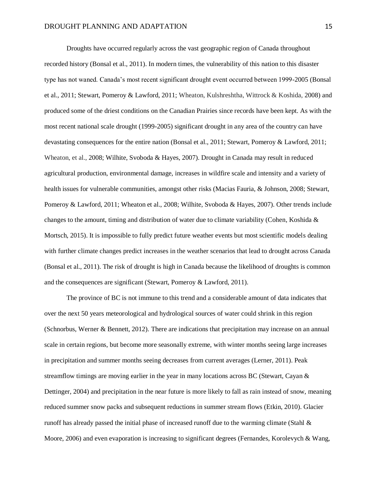Droughts have occurred regularly across the vast geographic region of Canada throughout recorded history (Bonsal et al., 2011). In modern times, the vulnerability of this nation to this disaster type has not waned. Canada's most recent significant drought event occurred between 1999-2005 (Bonsal et al., 2011; Stewart, Pomeroy & Lawford, 2011; Wheaton, Kulshreshtha, Wittrock & Koshida, 2008) and produced some of the driest conditions on the Canadian Prairies since records have been kept. As with the most recent national scale drought (1999-2005) significant drought in any area of the country can have devastating consequences for the entire nation (Bonsal et al., 2011; Stewart, Pomeroy & Lawford, 2011; Wheaton, et al., 2008; Wilhite, Svoboda & Hayes, 2007). Drought in Canada may result in reduced agricultural production, environmental damage, increases in wildfire scale and intensity and a variety of health issues for vulnerable communities, amongst other risks (Macias Fauria, & Johnson, 2008; Stewart, Pomeroy & Lawford, 2011; Wheaton et al., 2008; Wilhite, Svoboda & Hayes, 2007). Other trends include changes to the amount, timing and distribution of water due to climate variability (Cohen, Koshida  $\&$ Mortsch, 2015). It is impossible to fully predict future weather events but most scientific models dealing with further climate changes predict increases in the weather scenarios that lead to drought across Canada (Bonsal et al., 2011). The risk of drought is high in Canada because the likelihood of droughts is common and the consequences are significant (Stewart, Pomeroy & Lawford, 2011).

The province of BC is not immune to this trend and a considerable amount of data indicates that over the next 50 years meteorological and hydrological sources of water could shrink in this region (Schnorbus, Werner & Bennett, 2012). There are indications that precipitation may increase on an annual scale in certain regions, but become more seasonally extreme, with winter months seeing large increases in precipitation and summer months seeing decreases from current averages (Lerner, 2011). Peak streamflow timings are moving earlier in the year in many locations across BC (Stewart, Cayan & Dettinger, 2004) and precipitation in the near future is more likely to fall as rain instead of snow, meaning reduced summer snow packs and subsequent reductions in summer stream flows (Etkin, 2010). Glacier runoff has already passed the initial phase of increased runoff due to the warming climate (Stahl & Moore, 2006) and even evaporation is increasing to significant degrees (Fernandes, Korolevych & Wang,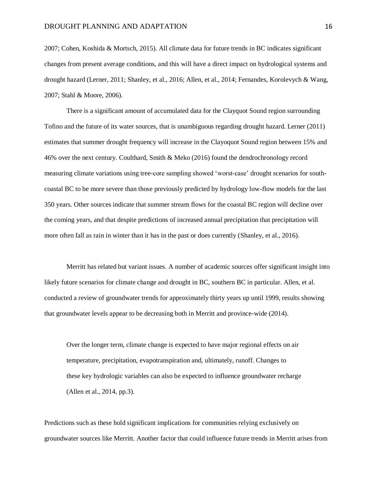2007; Cohen, Koshida & Mortsch, 2015). All climate data for future trends in BC indicates significant changes from present average conditions, and this will have a direct impact on hydrological systems and drought hazard (Lerner, 2011; Shanley, et al., 2016; Allen, et al., 2014; Fernandes, Korolevych & Wang, 2007; Stahl & Moore, 2006).

There is a significant amount of accumulated data for the Clayquot Sound region surrounding Tofino and the future of its water sources, that is unambiguous regarding drought hazard. Lerner (2011) estimates that summer drought frequency will increase in the Clayoquot Sound region between 15% and 46% over the next century. Coulthard, Smith & Meko (2016) found the dendrochronology record measuring climate variations using tree-core sampling showed 'worst-case' drought scenarios for southcoastal BC to be more severe than those previously predicted by hydrology low-flow models for the last 350 years. Other sources indicate that summer stream flows for the coastal BC region will decline over the coming years, and that despite predictions of increased annual precipitation that precipitation will more often fall as rain in winter than it has in the past or does currently (Shanley, et al., 2016).

Merritt has related but variant issues. A number of academic sources offer significant insight into likely future scenarios for climate change and drought in BC, southern BC in particular. Allen, et al. conducted a review of groundwater trends for approximately thirty years up until 1999, results showing that groundwater levels appear to be decreasing both in Merritt and province-wide (2014).

Over the longer term, climate change is expected to have major regional effects on air temperature, precipitation, evapotranspiration and, ultimately, runoff. Changes to these key hydrologic variables can also be expected to influence groundwater recharge (Allen et al., 2014, pp.3).

Predictions such as these hold significant implications for communities relying exclusively on groundwater sources like Merritt. Another factor that could influence future trends in Merritt arises from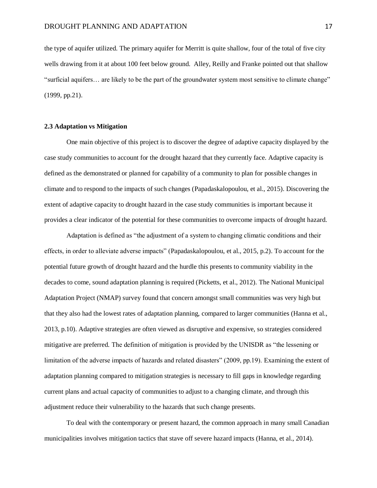the type of aquifer utilized. The primary aquifer for Merritt is quite shallow, four of the total of five city wells drawing from it at about 100 feet below ground. Alley, Reilly and Franke pointed out that shallow "surficial aquifers… are likely to be the part of the groundwater system most sensitive to climate change" (1999, pp.21).

#### <span id="page-16-0"></span>**2.3 Adaptation vs Mitigation**

One main objective of this project is to discover the degree of adaptive capacity displayed by the case study communities to account for the drought hazard that they currently face. Adaptive capacity is defined as the demonstrated or planned for capability of a community to plan for possible changes in climate and to respond to the impacts of such changes (Papadaskalopoulou, et al., 2015). Discovering the extent of adaptive capacity to drought hazard in the case study communities is important because it provides a clear indicator of the potential for these communities to overcome impacts of drought hazard.

Adaptation is defined as "the adjustment of a system to changing climatic conditions and their effects, in order to alleviate adverse impacts" (Papadaskalopoulou, et al., 2015, p.2). To account for the potential future growth of drought hazard and the hurdle this presents to community viability in the decades to come, sound adaptation planning is required (Picketts, et al., 2012). The National Municipal Adaptation Project (NMAP) survey found that concern amongst small communities was very high but that they also had the lowest rates of adaptation planning, compared to larger communities (Hanna et al., 2013, p.10). Adaptive strategies are often viewed as disruptive and expensive, so strategies considered mitigative are preferred. The definition of mitigation is provided by the UNISDR as "the lessening or limitation of the adverse impacts of hazards and related disasters" (2009, pp.19). Examining the extent of adaptation planning compared to mitigation strategies is necessary to fill gaps in knowledge regarding current plans and actual capacity of communities to adjust to a changing climate, and through this adjustment reduce their vulnerability to the hazards that such change presents.

To deal with the contemporary or present hazard, the common approach in many small Canadian municipalities involves mitigation tactics that stave off severe hazard impacts (Hanna, et al., 2014).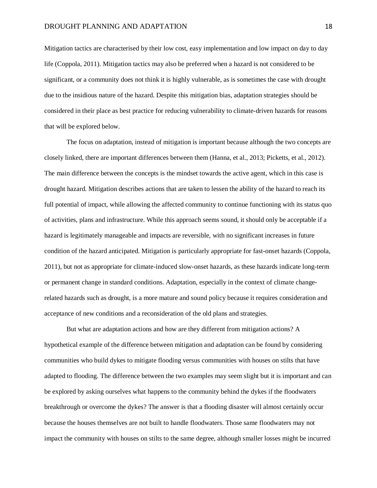Mitigation tactics are characterised by their low cost, easy implementation and low impact on day to day life (Coppola, 2011). Mitigation tactics may also be preferred when a hazard is not considered to be significant, or a community does not think it is highly vulnerable, as is sometimes the case with drought due to the insidious nature of the hazard. Despite this mitigation bias, adaptation strategies should be considered in their place as best practice for reducing vulnerability to climate-driven hazards for reasons that will be explored below.

The focus on adaptation, instead of mitigation is important because although the two concepts are closely linked, there are important differences between them (Hanna, et al., 2013; Picketts, et al., 2012). The main difference between the concepts is the mindset towards the active agent, which in this case is drought hazard. Mitigation describes actions that are taken to lessen the ability of the hazard to reach its full potential of impact, while allowing the affected community to continue functioning with its status quo of activities, plans and infrastructure. While this approach seems sound, it should only be acceptable if a hazard is legitimately manageable and impacts are reversible, with no significant increases in future condition of the hazard anticipated. Mitigation is particularly appropriate for fast-onset hazards (Coppola, 2011), but not as appropriate for climate-induced slow-onset hazards, as these hazards indicate long-term or permanent change in standard conditions. Adaptation, especially in the context of climate changerelated hazards such as drought, is a more mature and sound policy because it requires consideration and acceptance of new conditions and a reconsideration of the old plans and strategies.

But what are adaptation actions and how are they different from mitigation actions? A hypothetical example of the difference between mitigation and adaptation can be found by considering communities who build dykes to mitigate flooding versus communities with houses on stilts that have adapted to flooding. The difference between the two examples may seem slight but it is important and can be explored by asking ourselves what happens to the community behind the dykes if the floodwaters breakthrough or overcome the dykes? The answer is that a flooding disaster will almost certainly occur because the houses themselves are not built to handle floodwaters. Those same floodwaters may not impact the community with houses on stilts to the same degree, although smaller losses might be incurred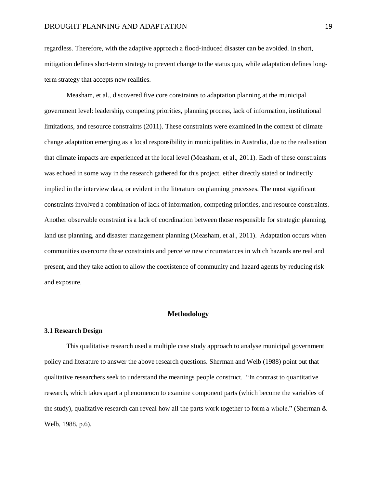regardless. Therefore, with the adaptive approach a flood-induced disaster can be avoided. In short, mitigation defines short-term strategy to prevent change to the status quo, while adaptation defines longterm strategy that accepts new realities.

Measham, et al., discovered five core constraints to adaptation planning at the municipal government level: leadership, competing priorities, planning process, lack of information, institutional limitations, and resource constraints (2011). These constraints were examined in the context of climate change adaptation emerging as a local responsibility in municipalities in Australia, due to the realisation that climate impacts are experienced at the local level (Measham, et al., 2011). Each of these constraints was echoed in some way in the research gathered for this project, either directly stated or indirectly implied in the interview data, or evident in the literature on planning processes. The most significant constraints involved a combination of lack of information, competing priorities, and resource constraints. Another observable constraint is a lack of coordination between those responsible for strategic planning, land use planning, and disaster management planning (Measham, et al., 2011). Adaptation occurs when communities overcome these constraints and perceive new circumstances in which hazards are real and present, and they take action to allow the coexistence of community and hazard agents by reducing risk and exposure.

## **Methodology**

## <span id="page-18-1"></span><span id="page-18-0"></span>**3.1 Research Design**

This qualitative research used a multiple case study approach to analyse municipal government policy and literature to answer the above research questions. Sherman and Welb (1988) point out that qualitative researchers seek to understand the meanings people construct. "In contrast to quantitative research, which takes apart a phenomenon to examine component parts (which become the variables of the study), qualitative research can reveal how all the parts work together to form a whole." (Sherman & Welb, 1988, p.6).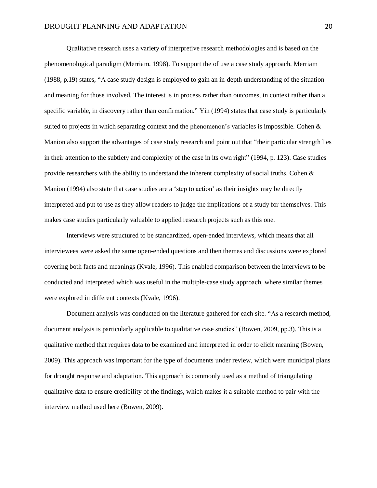Qualitative research uses a variety of interpretive research methodologies and is based on the phenomenological paradigm (Merriam, 1998). To support the of use a case study approach, Merriam (1988, p.19) states, "A case study design is employed to gain an in-depth understanding of the situation and meaning for those involved. The interest is in process rather than outcomes, in context rather than a specific variable, in discovery rather than confirmation." Yin (1994) states that case study is particularly suited to projects in which separating context and the phenomenon's variables is impossible. Cohen & Manion also support the advantages of case study research and point out that "their particular strength lies in their attention to the subtlety and complexity of the case in its own right" (1994, p. 123). Case studies provide researchers with the ability to understand the inherent complexity of social truths. Cohen & Manion (1994) also state that case studies are a 'step to action' as their insights may be directly interpreted and put to use as they allow readers to judge the implications of a study for themselves. This makes case studies particularly valuable to applied research projects such as this one.

Interviews were structured to be standardized, open-ended interviews, which means that all interviewees were asked the same open-ended questions and then themes and discussions were explored covering both facts and meanings (Kvale, 1996). This enabled comparison between the interviews to be conducted and interpreted which was useful in the multiple-case study approach, where similar themes were explored in different contexts (Kvale, 1996).

Document analysis was conducted on the literature gathered for each site. "As a research method, document analysis is particularly applicable to qualitative case studies" (Bowen, 2009, pp.3). This is a qualitative method that requires data to be examined and interpreted in order to elicit meaning (Bowen, 2009). This approach was important for the type of documents under review, which were municipal plans for drought response and adaptation. This approach is commonly used as a method of triangulating qualitative data to ensure credibility of the findings, which makes it a suitable method to pair with the interview method used here (Bowen, 2009).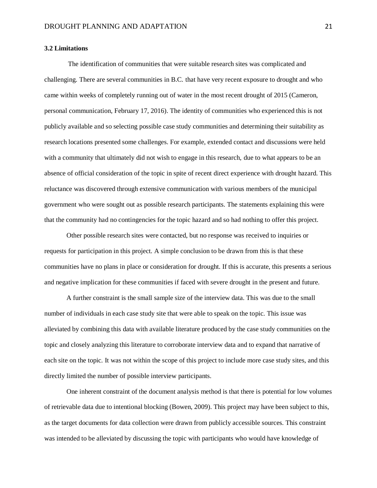## <span id="page-20-0"></span>**3.2 Limitations**

 The identification of communities that were suitable research sites was complicated and challenging. There are several communities in B.C. that have very recent exposure to drought and who came within weeks of completely running out of water in the most recent drought of 2015 (Cameron, personal communication, February 17, 2016). The identity of communities who experienced this is not publicly available and so selecting possible case study communities and determining their suitability as research locations presented some challenges. For example, extended contact and discussions were held with a community that ultimately did not wish to engage in this research, due to what appears to be an absence of official consideration of the topic in spite of recent direct experience with drought hazard. This reluctance was discovered through extensive communication with various members of the municipal government who were sought out as possible research participants. The statements explaining this were that the community had no contingencies for the topic hazard and so had nothing to offer this project.

Other possible research sites were contacted, but no response was received to inquiries or requests for participation in this project. A simple conclusion to be drawn from this is that these communities have no plans in place or consideration for drought. If this is accurate, this presents a serious and negative implication for these communities if faced with severe drought in the present and future.

A further constraint is the small sample size of the interview data. This was due to the small number of individuals in each case study site that were able to speak on the topic. This issue was alleviated by combining this data with available literature produced by the case study communities on the topic and closely analyzing this literature to corroborate interview data and to expand that narrative of each site on the topic. It was not within the scope of this project to include more case study sites, and this directly limited the number of possible interview participants.

One inherent constraint of the document analysis method is that there is potential for low volumes of retrievable data due to intentional blocking (Bowen, 2009). This project may have been subject to this, as the target documents for data collection were drawn from publicly accessible sources. This constraint was intended to be alleviated by discussing the topic with participants who would have knowledge of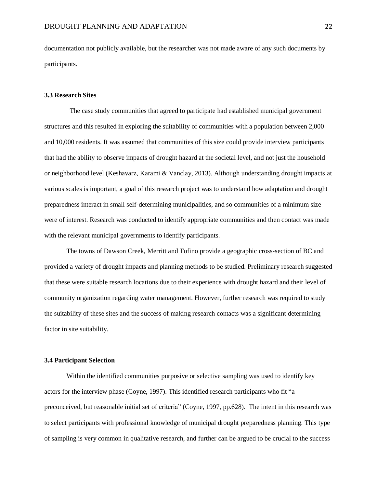documentation not publicly available, but the researcher was not made aware of any such documents by participants.

## <span id="page-21-0"></span>**3.3 Research Sites**

 The case study communities that agreed to participate had established municipal government structures and this resulted in exploring the suitability of communities with a population between 2,000 and 10,000 residents. It was assumed that communities of this size could provide interview participants that had the ability to observe impacts of drought hazard at the societal level, and not just the household or neighborhood level (Keshavarz, Karami & Vanclay, 2013). Although understanding drought impacts at various scales is important, a goal of this research project was to understand how adaptation and drought preparedness interact in small self-determining municipalities, and so communities of a minimum size were of interest. Research was conducted to identify appropriate communities and then contact was made with the relevant municipal governments to identify participants.

The towns of Dawson Creek, Merritt and Tofino provide a geographic cross-section of BC and provided a variety of drought impacts and planning methods to be studied. Preliminary research suggested that these were suitable research locations due to their experience with drought hazard and their level of community organization regarding water management. However, further research was required to study the suitability of these sites and the success of making research contacts was a significant determining factor in site suitability.

## <span id="page-21-1"></span>**3.4 Participant Selection**

Within the identified communities purposive or selective sampling was used to identify key actors for the interview phase (Coyne, 1997). This identified research participants who fit "a preconceived, but reasonable initial set of criteria" (Coyne, 1997, pp.628). The intent in this research was to select participants with professional knowledge of municipal drought preparedness planning. This type of sampling is very common in qualitative research, and further can be argued to be crucial to the success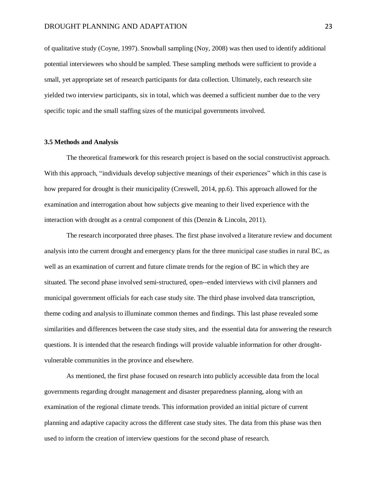of qualitative study (Coyne, 1997). Snowball sampling (Noy, 2008) was then used to identify additional potential interviewees who should be sampled. These sampling methods were sufficient to provide a small, yet appropriate set of research participants for data collection. Ultimately, each research site yielded two interview participants, six in total, which was deemed a sufficient number due to the very specific topic and the small staffing sizes of the municipal governments involved.

## <span id="page-22-0"></span>**3.5 Methods and Analysis**

The theoretical framework for this research project is based on the social constructivist approach. With this approach, "individuals develop subjective meanings of their experiences" which in this case is how prepared for drought is their municipality (Creswell, 2014, pp.6). This approach allowed for the examination and interrogation about how subjects give meaning to their lived experience with the interaction with drought as a central component of this (Denzin & Lincoln, 2011).

The research incorporated three phases. The first phase involved a literature review and document analysis into the current drought and emergency plans for the three municipal case studies in rural BC, as well as an examination of current and future climate trends for the region of BC in which they are situated. The second phase involved semi-structured, open--ended interviews with civil planners and municipal government officials for each case study site. The third phase involved data transcription, theme coding and analysis to illuminate common themes and findings. This last phase revealed some similarities and differences between the case study sites, and the essential data for answering the research questions. It is intended that the research findings will provide valuable information for other droughtvulnerable communities in the province and elsewhere.

As mentioned, the first phase focused on research into publicly accessible data from the local governments regarding drought management and disaster preparedness planning, along with an examination of the regional climate trends. This information provided an initial picture of current planning and adaptive capacity across the different case study sites. The data from this phase was then used to inform the creation of interview questions for the second phase of research.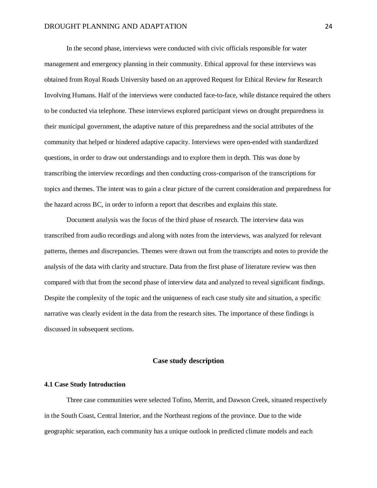In the second phase, interviews were conducted with civic officials responsible for water management and emergency planning in their community. Ethical approval for these interviews was obtained from Royal Roads University based on an approved Request for Ethical Review for Research Involving Humans. Half of the interviews were conducted face-to-face, while distance required the others to be conducted via telephone. These interviews explored participant views on drought preparedness in their municipal government, the adaptive nature of this preparedness and the social attributes of the community that helped or hindered adaptive capacity. Interviews were open-ended with standardized questions, in order to draw out understandings and to explore them in depth. This was done by transcribing the interview recordings and then conducting cross-comparison of the transcriptions for topics and themes. The intent was to gain a clear picture of the current consideration and preparedness for the hazard across BC, in order to inform a report that describes and explains this state.

Document analysis was the focus of the third phase of research. The interview data was transcribed from audio recordings and along with notes from the interviews, was analyzed for relevant patterns, themes and discrepancies. Themes were drawn out from the transcripts and notes to provide the analysis of the data with clarity and structure. Data from the first phase of literature review was then compared with that from the second phase of interview data and analyzed to reveal significant findings. Despite the complexity of the topic and the uniqueness of each case study site and situation, a specific narrative was clearly evident in the data from the research sites. The importance of these findings is discussed in subsequent sections.

## **Case study description**

## <span id="page-23-1"></span><span id="page-23-0"></span>**4.1 Case Study Introduction**

Three case communities were selected Tofino, Merritt, and Dawson Creek, situated respectively in the South Coast, Central Interior, and the Northeast regions of the province. Due to the wide geographic separation, each community has a unique outlook in predicted climate models and each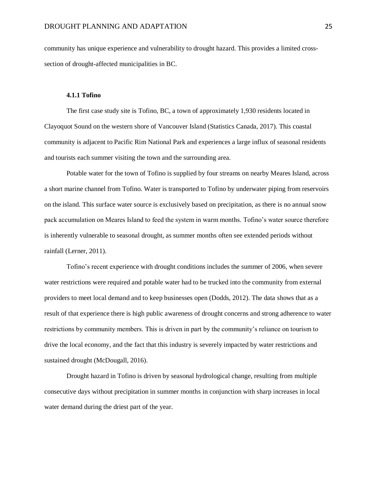community has unique experience and vulnerability to drought hazard. This provides a limited crosssection of drought-affected municipalities in BC.

## **4.1.1 Tofino**

<span id="page-24-0"></span>The first case study site is Tofino, BC, a town of approximately 1,930 residents located in Clayoquot Sound on the western shore of Vancouver Island (Statistics Canada, 2017). This coastal community is adjacent to Pacific Rim National Park and experiences a large influx of seasonal residents and tourists each summer visiting the town and the surrounding area.

Potable water for the town of Tofino is supplied by four streams on nearby Meares Island, across a short marine channel from Tofino. Water is transported to Tofino by underwater piping from reservoirs on the island. This surface water source is exclusively based on precipitation, as there is no annual snow pack accumulation on Meares Island to feed the system in warm months. Tofino's water source therefore is inherently vulnerable to seasonal drought, as summer months often see extended periods without rainfall (Lerner, 2011).

Tofino's recent experience with drought conditions includes the summer of 2006, when severe water restrictions were required and potable water had to be trucked into the community from external providers to meet local demand and to keep businesses open (Dodds, 2012). The data shows that as a result of that experience there is high public awareness of drought concerns and strong adherence to water restrictions by community members. This is driven in part by the community's reliance on tourism to drive the local economy, and the fact that this industry is severely impacted by water restrictions and sustained drought (McDougall, 2016).

Drought hazard in Tofino is driven by seasonal hydrological change, resulting from multiple consecutive days without precipitation in summer months in conjunction with sharp increases in local water demand during the driest part of the year.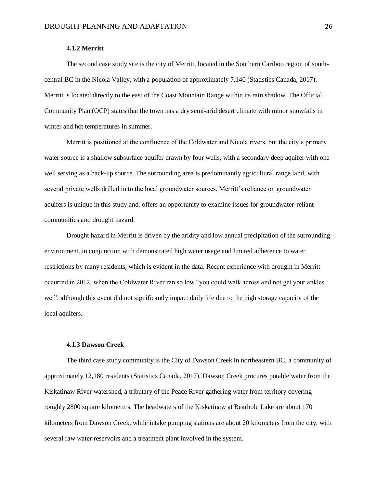## **4.1.2 Merritt**

<span id="page-25-0"></span>The second case study site is the city of Merritt, located in the Southern Cariboo region of southcentral BC in the Nicola Valley, with a population of approximately 7,140 (Statistics Canada, 2017). Merritt is located directly to the east of the Coast Mountain Range within its rain shadow. The Official Community Plan (OCP) states that the town has a dry semi-arid desert climate with minor snowfalls in winter and hot temperatures in summer.

Merritt is positioned at the confluence of the Coldwater and Nicola rivers, but the city's primary water source is a shallow subsurface aquifer drawn by four wells, with a secondary deep aquifer with one well serving as a back-up source. The surrounding area is predominantly agricultural range land, with several private wells drilled in to the local groundwater sources. Merritt's reliance on groundwater aquifers is unique in this study and, offers an opportunity to examine issues for groundwater-reliant communities and drought hazard.

Drought hazard in Merritt is driven by the aridity and low annual precipitation of the surrounding environment, in conjunction with demonstrated high water usage and limited adherence to water restrictions by many residents, which is evident in the data. Recent experience with drought in Merritt occurred in 2012, when the Coldwater River ran so low "you could walk across and not get your ankles wet", although this event did not significantly impact daily life due to the high storage capacity of the local aquifers.

## **4.1.3 Dawson Creek**

<span id="page-25-1"></span>The third case study community is the City of Dawson Creek in northeastern BC, a community of approximately 12,180 residents (Statistics Canada, 2017). Dawson Creek procures potable water from the Kiskatinaw River watershed, a tributary of the Peace River gathering water from territory covering roughly 2800 square kilometers. The headwaters of the Kiskatinaw at Bearhole Lake are about 170 kilometers from Dawson Creek, while intake pumping stations are about 20 kilometers from the city, with several raw water reservoirs and a treatment plant involved in the system.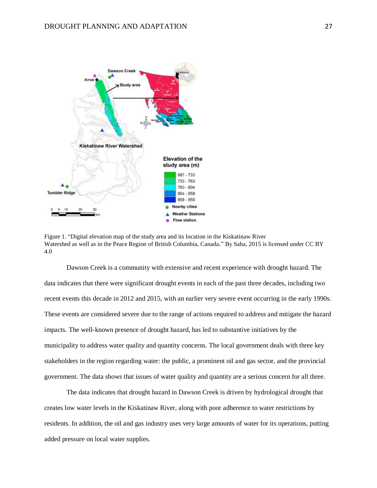

Figure 1. "Digital elevation map of the study area and its location in the Kiskatinaw River Watershed as well as in the Peace Region of British Columbia, Canada*.*" By Saha, 2015 is licensed under CC BY 4.0

Dawson Creek is a community with extensive and recent experience with drought hazard. The data indicates that there were significant drought events in each of the past three decades, including two recent events this decade in 2012 and 2015, with an earlier very severe event occurring in the early 1990s. These events are considered severe due to the range of actions required to address and mitigate the hazard impacts. The well-known presence of drought hazard, has led to substantive initiatives by the municipality to address water quality and quantity concerns. The local government deals with three key stakeholders in the region regarding water: the public, a prominent oil and gas sector, and the provincial government. The data shows that issues of water quality and quantity are a serious concern for all three.

The data indicates that drought hazard in Dawson Creek is driven by hydrological drought that creates low water levels in the Kiskatinaw River, along with poor adherence to water restrictions by residents. In addition, the oil and gas industry uses very large amounts of water for its operations, putting added pressure on local water supplies.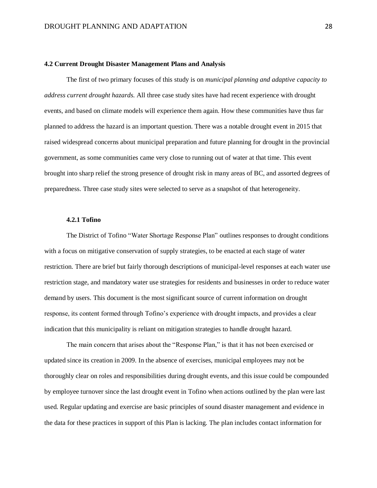#### <span id="page-27-0"></span>**4.2 Current Drought Disaster Management Plans and Analysis**

The first of two primary focuses of this study is on *municipal planning and adaptive capacity to address current drought hazards.* All three case study sites have had recent experience with drought events, and based on climate models will experience them again. How these communities have thus far planned to address the hazard is an important question. There was a notable drought event in 2015 that raised widespread concerns about municipal preparation and future planning for drought in the provincial government, as some communities came very close to running out of water at that time. This event brought into sharp relief the strong presence of drought risk in many areas of BC, and assorted degrees of preparedness. Three case study sites were selected to serve as a snapshot of that heterogeneity.

## **4.2.1 Tofino**

<span id="page-27-1"></span>The District of Tofino "Water Shortage Response Plan" outlines responses to drought conditions with a focus on mitigative conservation of supply strategies, to be enacted at each stage of water restriction. There are brief but fairly thorough descriptions of municipal-level responses at each water use restriction stage, and mandatory water use strategies for residents and businesses in order to reduce water demand by users. This document is the most significant source of current information on drought response, its content formed through Tofino's experience with drought impacts, and provides a clear indication that this municipality is reliant on mitigation strategies to handle drought hazard.

The main concern that arises about the "Response Plan," is that it has not been exercised or updated since its creation in 2009. In the absence of exercises, municipal employees may not be thoroughly clear on roles and responsibilities during drought events, and this issue could be compounded by employee turnover since the last drought event in Tofino when actions outlined by the plan were last used. Regular updating and exercise are basic principles of sound disaster management and evidence in the data for these practices in support of this Plan is lacking. The plan includes contact information for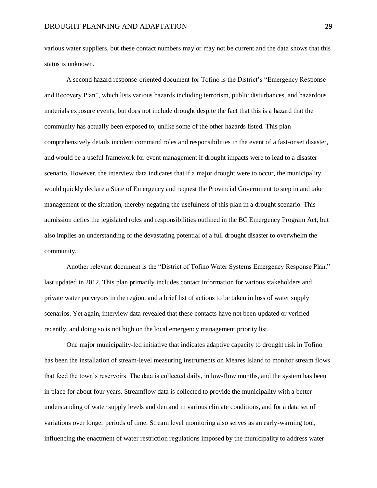various water suppliers, but these contact numbers may or may not be current and the data shows that this status is unknown.

A second hazard response-oriented document for Tofino is the District's "Emergency Response and Recovery Plan", which lists various hazards including terrorism, public disturbances, and hazardous materials exposure events, but does not include drought despite the fact that this is a hazard that the community has actually been exposed to, unlike some of the other hazards listed. This plan comprehensively details incident command roles and responsibilities in the event of a fast-onset disaster, and would be a useful framework for event management if drought impacts were to lead to a disaster scenario. However, the interview data indicates that if a major drought were to occur, the municipality would quickly declare a State of Emergency and request the Provincial Government to step in and take management of the situation, thereby negating the usefulness of this plan in a drought scenario. This admission defies the legislated roles and responsibilities outlined in the BC Emergency Program Act, but also implies an understanding of the devastating potential of a full drought disaster to overwhelm the community.

Another relevant document is the "District of Tofino Water Systems Emergency Response Plan," last updated in 2012. This plan primarily includes contact information for various stakeholders and private water purveyors in the region, and a brief list of actions to be taken in loss of water supply scenarios. Yet again, interview data revealed that these contacts have not been updated or verified recently, and doing so is not high on the local emergency management priority list.

One major municipality-led initiative that indicates adaptive capacity to drought risk in Tofino has been the installation of stream-level measuring instruments on Meares Island to monitor stream flows that feed the town's reservoirs. The data is collected daily, in low-flow months, and the system has been in place for about four years. Streamflow data is collected to provide the municipality with a better understanding of water supply levels and demand in various climate conditions, and for a data set of variations over longer periods of time. Stream level monitoring also serves as an early-warning tool, influencing the enactment of water restriction regulations imposed by the municipality to address water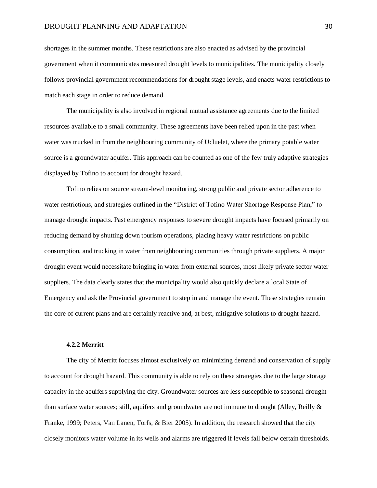#### DROUGHT PLANNING AND ADAPTATION 30

shortages in the summer months. These restrictions are also enacted as advised by the provincial government when it communicates measured drought levels to municipalities. The municipality closely follows provincial government recommendations for drought stage levels, and enacts water restrictions to match each stage in order to reduce demand.

The municipality is also involved in regional mutual assistance agreements due to the limited resources available to a small community. These agreements have been relied upon in the past when water was trucked in from the neighbouring community of Ucluelet, where the primary potable water source is a groundwater aquifer. This approach can be counted as one of the few truly adaptive strategies displayed by Tofino to account for drought hazard.

Tofino relies on source stream-level monitoring, strong public and private sector adherence to water restrictions, and strategies outlined in the "District of Tofino Water Shortage Response Plan," to manage drought impacts. Past emergency responses to severe drought impacts have focused primarily on reducing demand by shutting down tourism operations, placing heavy water restrictions on public consumption, and trucking in water from neighbouring communities through private suppliers. A major drought event would necessitate bringing in water from external sources, most likely private sector water suppliers. The data clearly states that the municipality would also quickly declare a local State of Emergency and ask the Provincial government to step in and manage the event. These strategies remain the core of current plans and are certainly reactive and, at best, mitigative solutions to drought hazard.

## **4.2.2 Merritt**

<span id="page-29-0"></span>The city of Merritt focuses almost exclusively on minimizing demand and conservation of supply to account for drought hazard. This community is able to rely on these strategies due to the large storage capacity in the aquifers supplying the city. Groundwater sources are less susceptible to seasonal drought than surface water sources; still, aquifers and groundwater are not immune to drought (Alley, Reilly & Franke, 1999; Peters, Van Lanen, Torfs, & Bier 2005). In addition, the research showed that the city closely monitors water volume in its wells and alarms are triggered if levels fall below certain thresholds.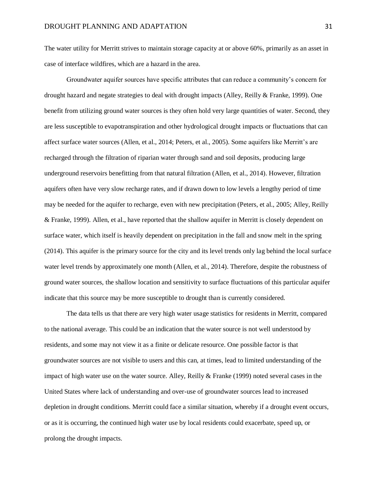The water utility for Merritt strives to maintain storage capacity at or above 60%, primarily as an asset in case of interface wildfires, which are a hazard in the area.

Groundwater aquifer sources have specific attributes that can reduce a community's concern for drought hazard and negate strategies to deal with drought impacts (Alley, Reilly & Franke, 1999). One benefit from utilizing ground water sources is they often hold very large quantities of water. Second, they are less susceptible to evapotranspiration and other hydrological drought impacts or fluctuations that can affect surface water sources (Allen, et al., 2014; Peters, et al., 2005). Some aquifers like Merritt's are recharged through the filtration of riparian water through sand and soil deposits, producing large underground reservoirs benefitting from that natural filtration (Allen, et al., 2014). However, filtration aquifers often have very slow recharge rates, and if drawn down to low levels a lengthy period of time may be needed for the aquifer to recharge, even with new precipitation (Peters, et al., 2005; Alley, Reilly & Franke, 1999). Allen, et al., have reported that the shallow aquifer in Merritt is closely dependent on surface water, which itself is heavily dependent on precipitation in the fall and snow melt in the spring (2014). This aquifer is the primary source for the city and its level trends only lag behind the local surface water level trends by approximately one month (Allen, et al., 2014). Therefore, despite the robustness of ground water sources, the shallow location and sensitivity to surface fluctuations of this particular aquifer indicate that this source may be more susceptible to drought than is currently considered.

The data tells us that there are very high water usage statistics for residents in Merritt, compared to the national average. This could be an indication that the water source is not well understood by residents, and some may not view it as a finite or delicate resource. One possible factor is that groundwater sources are not visible to users and this can, at times, lead to limited understanding of the impact of high water use on the water source. Alley, Reilly & Franke (1999) noted several cases in the United States where lack of understanding and over-use of groundwater sources lead to increased depletion in drought conditions. Merritt could face a similar situation, whereby if a drought event occurs, or as it is occurring, the continued high water use by local residents could exacerbate, speed up, or prolong the drought impacts.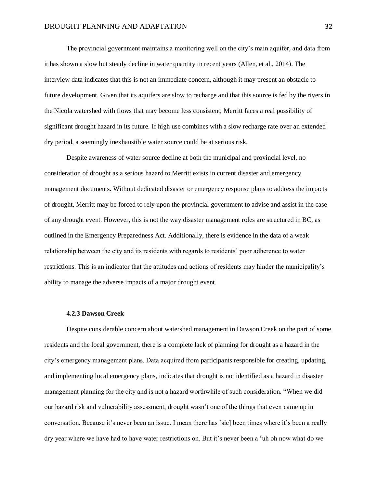The provincial government maintains a monitoring well on the city's main aquifer, and data from it has shown a slow but steady decline in water quantity in recent years (Allen, et al., 2014). The interview data indicates that this is not an immediate concern, although it may present an obstacle to future development. Given that its aquifers are slow to recharge and that this source is fed by the rivers in the Nicola watershed with flows that may become less consistent, Merritt faces a real possibility of significant drought hazard in its future. If high use combines with a slow recharge rate over an extended dry period, a seemingly inexhaustible water source could be at serious risk.

Despite awareness of water source decline at both the municipal and provincial level, no consideration of drought as a serious hazard to Merritt exists in current disaster and emergency management documents. Without dedicated disaster or emergency response plans to address the impacts of drought, Merritt may be forced to rely upon the provincial government to advise and assist in the case of any drought event. However, this is not the way disaster management roles are structured in BC, as outlined in the Emergency Preparedness Act. Additionally, there is evidence in the data of a weak relationship between the city and its residents with regards to residents' poor adherence to water restrictions. This is an indicator that the attitudes and actions of residents may hinder the municipality's ability to manage the adverse impacts of a major drought event.

## **4.2.3 Dawson Creek**

<span id="page-31-0"></span>Despite considerable concern about watershed management in Dawson Creek on the part of some residents and the local government, there is a complete lack of planning for drought as a hazard in the city's emergency management plans. Data acquired from participants responsible for creating, updating, and implementing local emergency plans, indicates that drought is not identified as a hazard in disaster management planning for the city and is not a hazard worthwhile of such consideration. "When we did our hazard risk and vulnerability assessment, drought wasn't one of the things that even came up in conversation. Because it's never been an issue. I mean there has [sic] been times where it's been a really dry year where we have had to have water restrictions on. But it's never been a 'uh oh now what do we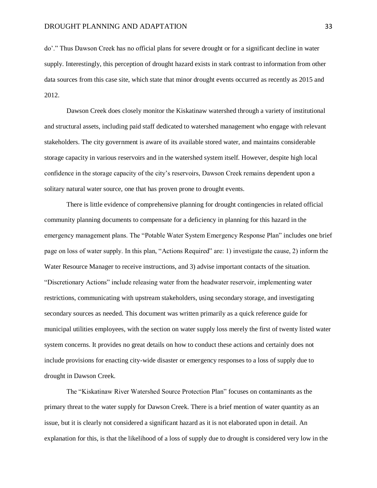do'." Thus Dawson Creek has no official plans for severe drought or for a significant decline in water supply. Interestingly, this perception of drought hazard exists in stark contrast to information from other data sources from this case site, which state that minor drought events occurred as recently as 2015 and 2012.

Dawson Creek does closely monitor the Kiskatinaw watershed through a variety of institutional and structural assets, including paid staff dedicated to watershed management who engage with relevant stakeholders. The city government is aware of its available stored water, and maintains considerable storage capacity in various reservoirs and in the watershed system itself. However, despite high local confidence in the storage capacity of the city's reservoirs, Dawson Creek remains dependent upon a solitary natural water source, one that has proven prone to drought events.

There is little evidence of comprehensive planning for drought contingencies in related official community planning documents to compensate for a deficiency in planning for this hazard in the emergency management plans. The "Potable Water System Emergency Response Plan" includes one brief page on loss of water supply. In this plan, "Actions Required" are: 1) investigate the cause, 2) inform the Water Resource Manager to receive instructions, and 3) advise important contacts of the situation. "Discretionary Actions" include releasing water from the headwater reservoir, implementing water restrictions, communicating with upstream stakeholders, using secondary storage, and investigating secondary sources as needed. This document was written primarily as a quick reference guide for municipal utilities employees, with the section on water supply loss merely the first of twenty listed water system concerns. It provides no great details on how to conduct these actions and certainly does not include provisions for enacting city-wide disaster or emergency responses to a loss of supply due to drought in Dawson Creek.

The "Kiskatinaw River Watershed Source Protection Plan" focuses on contaminants as the primary threat to the water supply for Dawson Creek. There is a brief mention of water quantity as an issue, but it is clearly not considered a significant hazard as it is not elaborated upon in detail. An explanation for this, is that the likelihood of a loss of supply due to drought is considered very low in the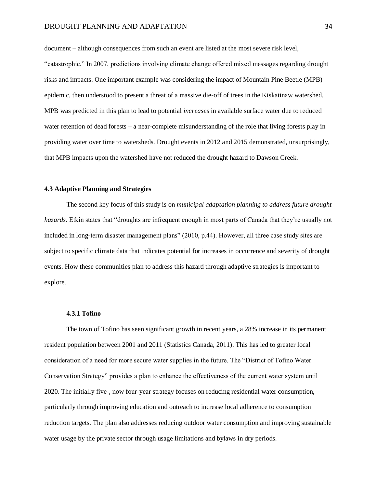#### DROUGHT PLANNING AND ADAPTATION 34

document – although consequences from such an event are listed at the most severe risk level, "catastrophic." In 2007, predictions involving climate change offered mixed messages regarding drought risks and impacts. One important example was considering the impact of Mountain Pine Beetle (MPB) epidemic, then understood to present a threat of a massive die-off of trees in the Kiskatinaw watershed. MPB was predicted in this plan to lead to potential *increases* in available surface water due to reduced water retention of dead forests – a near-complete misunderstanding of the role that living forests play in providing water over time to watersheds. Drought events in 2012 and 2015 demonstrated, unsurprisingly, that MPB impacts upon the watershed have not reduced the drought hazard to Dawson Creek.

## <span id="page-33-0"></span>**4.3 Adaptive Planning and Strategies**

The second key focus of this study is on *municipal adaptation planning to address future drought hazards.* Etkin states that "droughts are infrequent enough in most parts of Canada that they're usually not included in long-term disaster management plans" (2010, p.44). However, all three case study sites are subject to specific climate data that indicates potential for increases in occurrence and severity of drought events. How these communities plan to address this hazard through adaptive strategies is important to explore.

## **4.3.1 Tofino**

<span id="page-33-1"></span>The town of Tofino has seen significant growth in recent years, a 28% increase in its permanent resident population between 2001 and 2011 (Statistics Canada, 2011). This has led to greater local consideration of a need for more secure water supplies in the future. The "District of Tofino Water Conservation Strategy" provides a plan to enhance the effectiveness of the current water system until 2020. The initially five-, now four-year strategy focuses on reducing residential water consumption, particularly through improving education and outreach to increase local adherence to consumption reduction targets. The plan also addresses reducing outdoor water consumption and improving sustainable water usage by the private sector through usage limitations and bylaws in dry periods.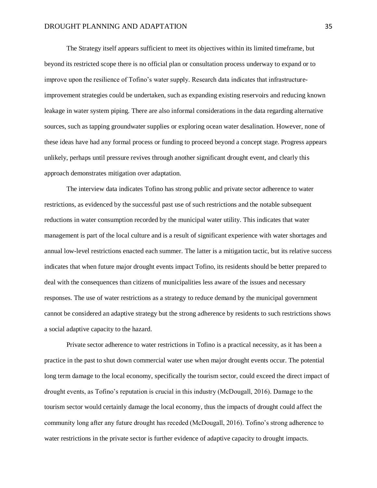The Strategy itself appears sufficient to meet its objectives within its limited timeframe, but beyond its restricted scope there is no official plan or consultation process underway to expand or to improve upon the resilience of Tofino's water supply. Research data indicates that infrastructureimprovement strategies could be undertaken, such as expanding existing reservoirs and reducing known leakage in water system piping. There are also informal considerations in the data regarding alternative sources, such as tapping groundwater supplies or exploring ocean water desalination. However, none of these ideas have had any formal process or funding to proceed beyond a concept stage. Progress appears unlikely, perhaps until pressure revives through another significant drought event, and clearly this approach demonstrates mitigation over adaptation.

The interview data indicates Tofino has strong public and private sector adherence to water restrictions, as evidenced by the successful past use of such restrictions and the notable subsequent reductions in water consumption recorded by the municipal water utility. This indicates that water management is part of the local culture and is a result of significant experience with water shortages and annual low-level restrictions enacted each summer. The latter is a mitigation tactic, but its relative success indicates that when future major drought events impact Tofino, its residents should be better prepared to deal with the consequences than citizens of municipalities less aware of the issues and necessary responses. The use of water restrictions as a strategy to reduce demand by the municipal government cannot be considered an adaptive strategy but the strong adherence by residents to such restrictions shows a social adaptive capacity to the hazard.

Private sector adherence to water restrictions in Tofino is a practical necessity, as it has been a practice in the past to shut down commercial water use when major drought events occur. The potential long term damage to the local economy, specifically the tourism sector, could exceed the direct impact of drought events, as Tofino's reputation is crucial in this industry (McDougall, 2016). Damage to the tourism sector would certainly damage the local economy, thus the impacts of drought could affect the community long after any future drought has receded (McDougall, 2016). Tofino's strong adherence to water restrictions in the private sector is further evidence of adaptive capacity to drought impacts.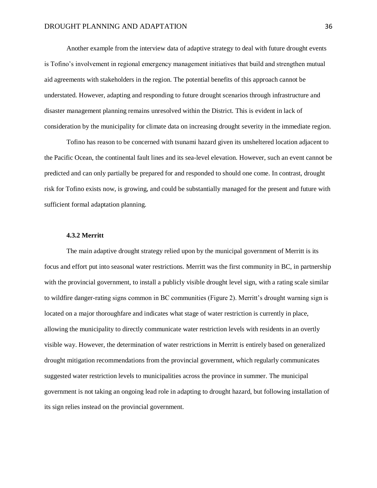Another example from the interview data of adaptive strategy to deal with future drought events is Tofino's involvement in regional emergency management initiatives that build and strengthen mutual aid agreements with stakeholders in the region. The potential benefits of this approach cannot be understated. However, adapting and responding to future drought scenarios through infrastructure and disaster management planning remains unresolved within the District. This is evident in lack of consideration by the municipality for climate data on increasing drought severity in the immediate region.

Tofino has reason to be concerned with tsunami hazard given its unsheltered location adjacent to the Pacific Ocean, the continental fault lines and its sea-level elevation. However, such an event cannot be predicted and can only partially be prepared for and responded to should one come. In contrast, drought risk for Tofino exists now, is growing, and could be substantially managed for the present and future with sufficient formal adaptation planning.

## **4.3.2 Merritt**

<span id="page-35-0"></span>The main adaptive drought strategy relied upon by the municipal government of Merritt is its focus and effort put into seasonal water restrictions. Merritt was the first community in BC, in partnership with the provincial government, to install a publicly visible drought level sign, with a rating scale similar to wildfire danger-rating signs common in BC communities (Figure 2). Merritt's drought warning sign is located on a major thoroughfare and indicates what stage of water restriction is currently in place, allowing the municipality to directly communicate water restriction levels with residents in an overtly visible way. However, the determination of water restrictions in Merritt is entirely based on generalized drought mitigation recommendations from the provincial government, which regularly communicates suggested water restriction levels to municipalities across the province in summer. The municipal government is not taking an ongoing lead role in adapting to drought hazard, but following installation of its sign relies instead on the provincial government.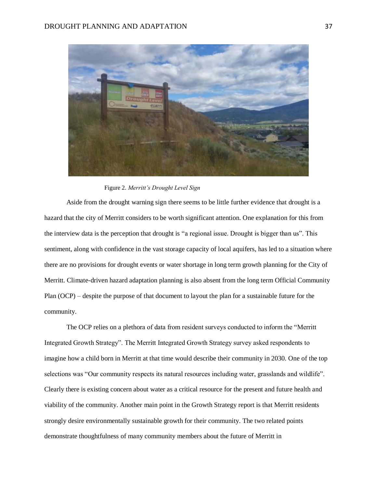

Figure 2. *Merritt's Drought Level Sign*

Aside from the drought warning sign there seems to be little further evidence that drought is a hazard that the city of Merritt considers to be worth significant attention. One explanation for this from the interview data is the perception that drought is "a regional issue. Drought is bigger than us". This sentiment, along with confidence in the vast storage capacity of local aquifers, has led to a situation where there are no provisions for drought events or water shortage in long term growth planning for the City of Merritt. Climate-driven hazard adaptation planning is also absent from the long term Official Community Plan (OCP) – despite the purpose of that document to layout the plan for a sustainable future for the community.

The OCP relies on a plethora of data from resident surveys conducted to inform the "Merritt Integrated Growth Strategy". The Merritt Integrated Growth Strategy survey asked respondents to imagine how a child born in Merritt at that time would describe their community in 2030. One of the top selections was "Our community respects its natural resources including water, grasslands and wildlife". Clearly there is existing concern about water as a critical resource for the present and future health and viability of the community. Another main point in the Growth Strategy report is that Merritt residents strongly desire environmentally sustainable growth for their community. The two related points demonstrate thoughtfulness of many community members about the future of Merritt in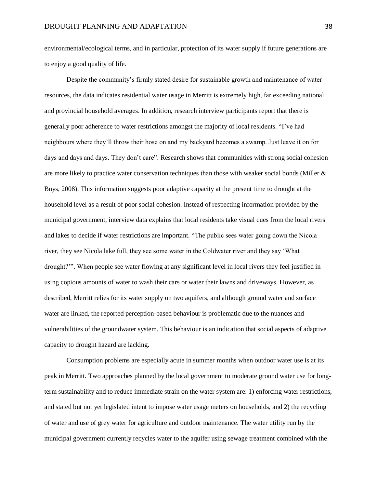environmental/ecological terms, and in particular, protection of its water supply if future generations are to enjoy a good quality of life.

Despite the community's firmly stated desire for sustainable growth and maintenance of water resources, the data indicates residential water usage in Merritt is extremely high, far exceeding national and provincial household averages. In addition, research interview participants report that there is generally poor adherence to water restrictions amongst the majority of local residents. "I've had neighbours where they'll throw their hose on and my backyard becomes a swamp. Just leave it on for days and days and days. They don't care". Research shows that communities with strong social cohesion are more likely to practice water conservation techniques than those with weaker social bonds (Miller & Buys, 2008). This information suggests poor adaptive capacity at the present time to drought at the household level as a result of poor social cohesion. Instead of respecting information provided by the municipal government, interview data explains that local residents take visual cues from the local rivers and lakes to decide if water restrictions are important. "The public sees water going down the Nicola river, they see Nicola lake full, they see some water in the Coldwater river and they say 'What drought?'". When people see water flowing at any significant level in local rivers they feel justified in using copious amounts of water to wash their cars or water their lawns and driveways. However, as described, Merritt relies for its water supply on two aquifers, and although ground water and surface water are linked, the reported perception-based behaviour is problematic due to the nuances and vulnerabilities of the groundwater system. This behaviour is an indication that social aspects of adaptive capacity to drought hazard are lacking.

Consumption problems are especially acute in summer months when outdoor water use is at its peak in Merritt. Two approaches planned by the local government to moderate ground water use for longterm sustainability and to reduce immediate strain on the water system are: 1) enforcing water restrictions, and stated but not yet legislated intent to impose water usage meters on households, and 2) the recycling of water and use of grey water for agriculture and outdoor maintenance. The water utility run by the municipal government currently recycles water to the aquifer using sewage treatment combined with the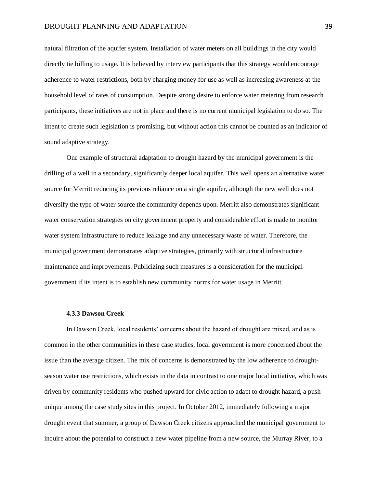#### DROUGHT PLANNING AND ADAPTATION 39

natural filtration of the aquifer system. Installation of water meters on all buildings in the city would directly tie billing to usage. It is believed by interview participants that this strategy would encourage adherence to water restrictions, both by charging money for use as well as increasing awareness at the household level of rates of consumption. Despite strong desire to enforce water metering from research participants, these initiatives are not in place and there is no current municipal legislation to do so. The intent to create such legislation is promising, but without action this cannot be counted as an indicator of sound adaptive strategy.

One example of structural adaptation to drought hazard by the municipal government is the drilling of a well in a secondary, significantly deeper local aquifer. This well opens an alternative water source for Merritt reducing its previous reliance on a single aquifer, although the new well does not diversify the type of water source the community depends upon. Merritt also demonstrates significant water conservation strategies on city government property and considerable effort is made to monitor water system infrastructure to reduce leakage and any unnecessary waste of water. Therefore, the municipal government demonstrates adaptive strategies, primarily with structural infrastructure maintenance and improvements. Publicizing such measures is a consideration for the municipal government if its intent is to establish new community norms for water usage in Merritt.

## **4.3.3 Dawson Creek**

<span id="page-38-0"></span>In Dawson Creek, local residents' concerns about the hazard of drought are mixed, and as is common in the other communities in these case studies, local government is more concerned about the issue than the average citizen. The mix of concerns is demonstrated by the low adherence to droughtseason water use restrictions, which exists in the data in contrast to one major local initiative, which was driven by community residents who pushed upward for civic action to adapt to drought hazard, a push unique among the case study sites in this project. In October 2012, immediately following a major drought event that summer, a group of Dawson Creek citizens approached the municipal government to inquire about the potential to construct a new water pipeline from a new source, the Murray River, to a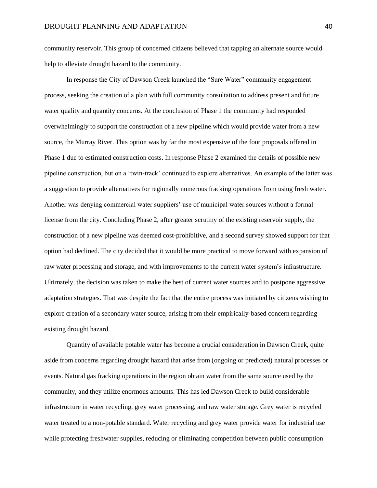community reservoir. This group of concerned citizens believed that tapping an alternate source would help to alleviate drought hazard to the community.

In response the City of Dawson Creek launched the "Sure Water" community engagement process, seeking the creation of a plan with full community consultation to address present and future water quality and quantity concerns. At the conclusion of Phase 1 the community had responded overwhelmingly to support the construction of a new pipeline which would provide water from a new source, the Murray River. This option was by far the most expensive of the four proposals offered in Phase 1 due to estimated construction costs. In response Phase 2 examined the details of possible new pipeline construction, but on a 'twin-track' continued to explore alternatives. An example of the latter was a suggestion to provide alternatives for regionally numerous fracking operations from using fresh water. Another was denying commercial water suppliers' use of municipal water sources without a formal license from the city. Concluding Phase 2, after greater scrutiny of the existing reservoir supply, the construction of a new pipeline was deemed cost-prohibitive, and a second survey showed support for that option had declined. The city decided that it would be more practical to move forward with expansion of raw water processing and storage, and with improvements to the current water system's infrastructure. Ultimately, the decision was taken to make the best of current water sources and to postpone aggressive adaptation strategies. That was despite the fact that the entire process was initiated by citizens wishing to explore creation of a secondary water source, arising from their empirically-based concern regarding existing drought hazard.

Quantity of available potable water has become a crucial consideration in Dawson Creek, quite aside from concerns regarding drought hazard that arise from (ongoing or predicted) natural processes or events. Natural gas fracking operations in the region obtain water from the same source used by the community, and they utilize enormous amounts. This has led Dawson Creek to build considerable infrastructure in water recycling, grey water processing, and raw water storage. Grey water is recycled water treated to a non-potable standard. Water recycling and grey water provide water for industrial use while protecting freshwater supplies, reducing or eliminating competition between public consumption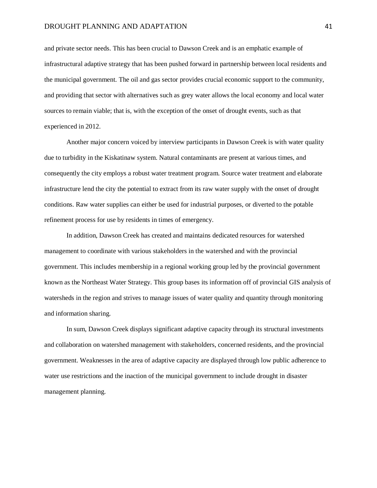#### DROUGHT PLANNING AND ADAPTATION 41

and private sector needs. This has been crucial to Dawson Creek and is an emphatic example of infrastructural adaptive strategy that has been pushed forward in partnership between local residents and the municipal government. The oil and gas sector provides crucial economic support to the community, and providing that sector with alternatives such as grey water allows the local economy and local water sources to remain viable; that is, with the exception of the onset of drought events, such as that experienced in 2012.

Another major concern voiced by interview participants in Dawson Creek is with water quality due to turbidity in the Kiskatinaw system. Natural contaminants are present at various times, and consequently the city employs a robust water treatment program. Source water treatment and elaborate infrastructure lend the city the potential to extract from its raw water supply with the onset of drought conditions. Raw water supplies can either be used for industrial purposes, or diverted to the potable refinement process for use by residents in times of emergency.

In addition, Dawson Creek has created and maintains dedicated resources for watershed management to coordinate with various stakeholders in the watershed and with the provincial government. This includes membership in a regional working group led by the provincial government known as the Northeast Water Strategy. This group bases its information off of provincial GIS analysis of watersheds in the region and strives to manage issues of water quality and quantity through monitoring and information sharing.

In sum, Dawson Creek displays significant adaptive capacity through its structural investments and collaboration on watershed management with stakeholders, concerned residents, and the provincial government. Weaknesses in the area of adaptive capacity are displayed through low public adherence to water use restrictions and the inaction of the municipal government to include drought in disaster management planning.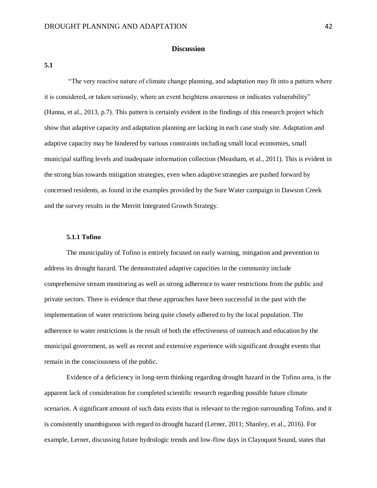## **Discussion**

<span id="page-41-1"></span><span id="page-41-0"></span>**5.1**

"The very reactive nature of climate change planning, and adaptation may fit into a pattern where it is considered, or taken seriously, where an event heightens awareness or indicates vulnerability" (Hanna, et al., 2013, p.7). This pattern is certainly evident in the findings of this research project which show that adaptive capacity and adaptation planning are lacking in each case study site. Adaptation and adaptive capacity may be hindered by various constraints including small local economies, small municipal staffing levels and inadequate information collection (Measham, et al., 2011). This is evident in the strong bias towards mitigation strategies, even when adaptive strategies are pushed forward by concerned residents, as found in the examples provided by the Sure Water campaign in Dawson Creek and the survey results in the Merritt Integrated Growth Strategy.

## **5.1.1 Tofino**

<span id="page-41-2"></span>The municipality of Tofino is entirely focused on early warning, mitigation and prevention to address its drought hazard. The demonstrated adaptive capacities in the community include comprehensive stream monitoring as well as strong adherence to water restrictions from the public and private sectors. There is evidence that these approaches have been successful in the past with the implementation of water restrictions being quite closely adhered to by the local population. The adherence to water restrictions is the result of both the effectiveness of outreach and education by the municipal government, as well as recent and extensive experience with significant drought events that remain in the consciousness of the public.

Evidence of a deficiency in long-term thinking regarding drought hazard in the Tofino area, is the apparent lack of consideration for completed scientific research regarding possible future climate scenarios. A significant amount of such data exists that is relevant to the region surrounding Tofino, and it is consistently unambiguous with regard to drought hazard (Lerner, 2011; Shanley, et al., 2016). For example, Lerner, discussing future hydrologic trends and low-flow days in Clayoquot Sound, states that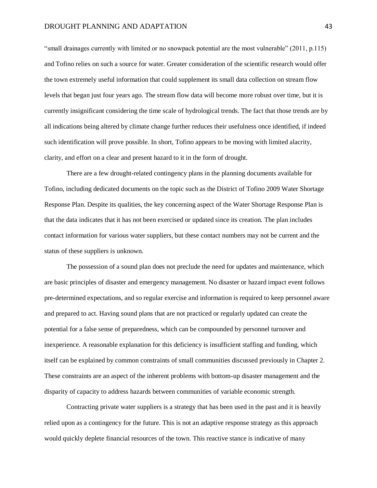"small drainages currently with limited or no snowpack potential are the most vulnerable" (2011, p.115) and Tofino relies on such a source for water. Greater consideration of the scientific research would offer the town extremely useful information that could supplement its small data collection on stream flow levels that began just four years ago. The stream flow data will become more robust over time, but it is currently insignificant considering the time scale of hydrological trends. The fact that those trends are by all indications being altered by climate change further reduces their usefulness once identified, if indeed such identification will prove possible. In short, Tofino appears to be moving with limited alacrity, clarity, and effort on a clear and present hazard to it in the form of drought.

There are a few drought-related contingency plans in the planning documents available for Tofino, including dedicated documents on the topic such as the District of Tofino 2009 Water Shortage Response Plan. Despite its qualities, the key concerning aspect of the Water Shortage Response Plan is that the data indicates that it has not been exercised or updated since its creation. The plan includes contact information for various water suppliers, but these contact numbers may not be current and the status of these suppliers is unknown.

The possession of a sound plan does not preclude the need for updates and maintenance, which are basic principles of disaster and emergency management. No disaster or hazard impact event follows pre-determined expectations, and so regular exercise and information is required to keep personnel aware and prepared to act. Having sound plans that are not practiced or regularly updated can create the potential for a false sense of preparedness, which can be compounded by personnel turnover and inexperience. A reasonable explanation for this deficiency is insufficient staffing and funding, which itself can be explained by common constraints of small communities discussed previously in Chapter 2. These constraints are an aspect of the inherent problems with bottom-up disaster management and the disparity of capacity to address hazards between communities of variable economic strength.

Contracting private water suppliers is a strategy that has been used in the past and it is heavily relied upon as a contingency for the future. This is not an adaptive response strategy as this approach would quickly deplete financial resources of the town. This reactive stance is indicative of many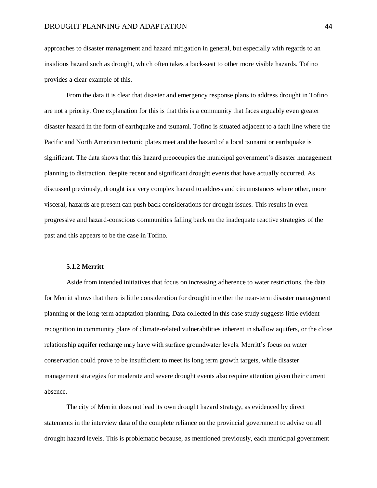approaches to disaster management and hazard mitigation in general, but especially with regards to an insidious hazard such as drought, which often takes a back-seat to other more visible hazards. Tofino provides a clear example of this.

From the data it is clear that disaster and emergency response plans to address drought in Tofino are not a priority. One explanation for this is that this is a community that faces arguably even greater disaster hazard in the form of earthquake and tsunami. Tofino is situated adjacent to a fault line where the Pacific and North American tectonic plates meet and the hazard of a local tsunami or earthquake is significant. The data shows that this hazard preoccupies the municipal government's disaster management planning to distraction, despite recent and significant drought events that have actually occurred. As discussed previously, drought is a very complex hazard to address and circumstances where other, more visceral, hazards are present can push back considerations for drought issues. This results in even progressive and hazard-conscious communities falling back on the inadequate reactive strategies of the past and this appears to be the case in Tofino.

## **5.1.2 Merritt**

<span id="page-43-0"></span>Aside from intended initiatives that focus on increasing adherence to water restrictions, the data for Merritt shows that there is little consideration for drought in either the near-term disaster management planning or the long-term adaptation planning. Data collected in this case study suggests little evident recognition in community plans of climate-related vulnerabilities inherent in shallow aquifers, or the close relationship aquifer recharge may have with surface groundwater levels. Merritt's focus on water conservation could prove to be insufficient to meet its long term growth targets, while disaster management strategies for moderate and severe drought events also require attention given their current absence.

The city of Merritt does not lead its own drought hazard strategy, as evidenced by direct statements in the interview data of the complete reliance on the provincial government to advise on all drought hazard levels. This is problematic because, as mentioned previously, each municipal government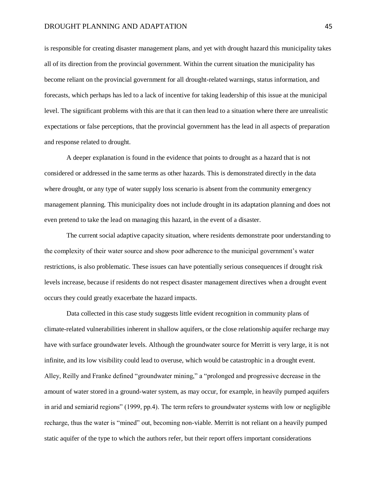#### DROUGHT PLANNING AND ADAPTATION 45

is responsible for creating disaster management plans, and yet with drought hazard this municipality takes all of its direction from the provincial government. Within the current situation the municipality has become reliant on the provincial government for all drought-related warnings, status information, and forecasts, which perhaps has led to a lack of incentive for taking leadership of this issue at the municipal level. The significant problems with this are that it can then lead to a situation where there are unrealistic expectations or false perceptions, that the provincial government has the lead in all aspects of preparation and response related to drought.

A deeper explanation is found in the evidence that points to drought as a hazard that is not considered or addressed in the same terms as other hazards. This is demonstrated directly in the data where drought, or any type of water supply loss scenario is absent from the community emergency management planning. This municipality does not include drought in its adaptation planning and does not even pretend to take the lead on managing this hazard, in the event of a disaster.

The current social adaptive capacity situation, where residents demonstrate poor understanding to the complexity of their water source and show poor adherence to the municipal government's water restrictions, is also problematic. These issues can have potentially serious consequences if drought risk levels increase, because if residents do not respect disaster management directives when a drought event occurs they could greatly exacerbate the hazard impacts.

Data collected in this case study suggests little evident recognition in community plans of climate-related vulnerabilities inherent in shallow aquifers, or the close relationship aquifer recharge may have with surface groundwater levels. Although the groundwater source for Merritt is very large, it is not infinite, and its low visibility could lead to overuse, which would be catastrophic in a drought event. Alley, Reilly and Franke defined "groundwater mining," a "prolonged and progressive decrease in the amount of water stored in a ground-water system, as may occur, for example, in heavily pumped aquifers in arid and semiarid regions" (1999, pp.4). The term refers to groundwater systems with low or negligible recharge, thus the water is "mined" out, becoming non-viable. Merritt is not reliant on a heavily pumped static aquifer of the type to which the authors refer, but their report offers important considerations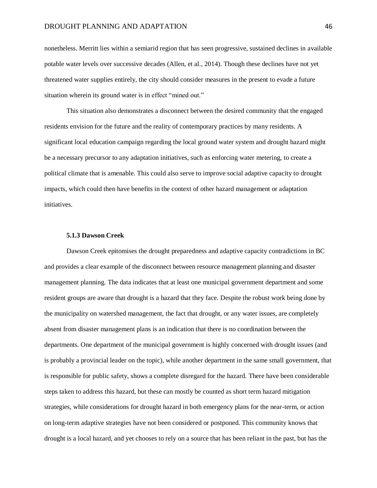#### DROUGHT PLANNING AND ADAPTATION 46

nonetheless. Merritt lies within a semiarid region that has seen progressive, sustained declines in available potable water levels over successive decades (Allen, et al., 2014). Though these declines have not yet threatened water supplies entirely, the city should consider measures in the present to evade a future situation wherein its ground water is in effect "mined out."

This situation also demonstrates a disconnect between the desired community that the engaged residents envision for the future and the reality of contemporary practices by many residents. A significant local education campaign regarding the local ground water system and drought hazard might be a necessary precursor to any adaptation initiatives, such as enforcing water metering, to create a political climate that is amenable. This could also serve to improve social adaptive capacity to drought impacts, which could then have benefits in the context of other hazard management or adaptation initiatives.

## **5.1.3 Dawson Creek**

<span id="page-45-0"></span>Dawson Creek epitomises the drought preparedness and adaptive capacity contradictions in BC and provides a clear example of the disconnect between resource management planning and disaster management planning. The data indicates that at least one municipal government department and some resident groups are aware that drought is a hazard that they face. Despite the robust work being done by the municipality on watershed management, the fact that drought, or any water issues, are completely absent from disaster management plans is an indication that there is no coordination between the departments. One department of the municipal government is highly concerned with drought issues (and is probably a provincial leader on the topic), while another department in the same small government, that is responsible for public safety, shows a complete disregard for the hazard. There have been considerable steps taken to address this hazard, but these can mostly be counted as short term hazard mitigation strategies, while considerations for drought hazard in both emergency plans for the near-term, or action on long-term adaptive strategies have not been considered or postponed. This community knows that drought is a local hazard, and yet chooses to rely on a source that has been reliant in the past, but has the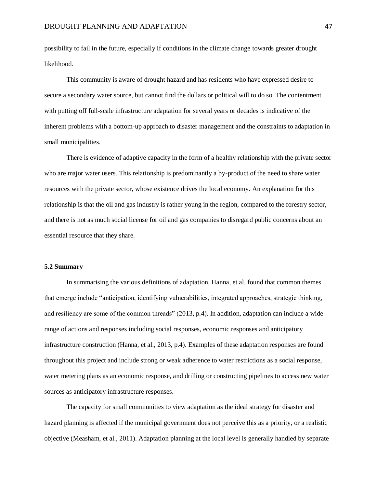possibility to fail in the future, especially if conditions in the climate change towards greater drought likelihood.

This community is aware of drought hazard and has residents who have expressed desire to secure a secondary water source, but cannot find the dollars or political will to do so. The contentment with putting off full-scale infrastructure adaptation for several years or decades is indicative of the inherent problems with a bottom-up approach to disaster management and the constraints to adaptation in small municipalities.

There is evidence of adaptive capacity in the form of a healthy relationship with the private sector who are major water users. This relationship is predominantly a by-product of the need to share water resources with the private sector, whose existence drives the local economy. An explanation for this relationship is that the oil and gas industry is rather young in the region, compared to the forestry sector, and there is not as much social license for oil and gas companies to disregard public concerns about an essential resource that they share.

#### <span id="page-46-0"></span>**5.2 Summary**

In summarising the various definitions of adaptation, Hanna, et al. found that common themes that emerge include "anticipation, identifying vulnerabilities, integrated approaches, strategic thinking, and resiliency are some of the common threads" (2013, p.4). In addition, adaptation can include a wide range of actions and responses including social responses, economic responses and anticipatory infrastructure construction (Hanna, et al., 2013, p.4). Examples of these adaptation responses are found throughout this project and include strong or weak adherence to water restrictions as a social response, water metering plans as an economic response, and drilling or constructing pipelines to access new water sources as anticipatory infrastructure responses.

The capacity for small communities to view adaptation as the ideal strategy for disaster and hazard planning is affected if the municipal government does not perceive this as a priority, or a realistic objective (Measham, et al., 2011). Adaptation planning at the local level is generally handled by separate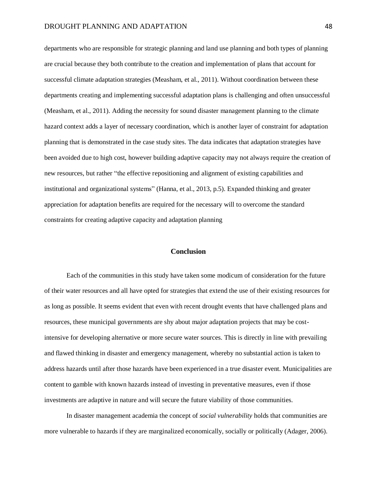departments who are responsible for strategic planning and land use planning and both types of planning are crucial because they both contribute to the creation and implementation of plans that account for successful climate adaptation strategies (Measham, et al., 2011). Without coordination between these departments creating and implementing successful adaptation plans is challenging and often unsuccessful (Measham, et al., 2011). Adding the necessity for sound disaster management planning to the climate hazard context adds a layer of necessary coordination, which is another layer of constraint for adaptation planning that is demonstrated in the case study sites. The data indicates that adaptation strategies have been avoided due to high cost, however building adaptive capacity may not always require the creation of new resources, but rather "the effective repositioning and alignment of existing capabilities and institutional and organizational systems" (Hanna, et al., 2013, p.5). Expanded thinking and greater appreciation for adaptation benefits are required for the necessary will to overcome the standard constraints for creating adaptive capacity and adaptation planning

## **Conclusion**

<span id="page-47-0"></span>Each of the communities in this study have taken some modicum of consideration for the future of their water resources and all have opted for strategies that extend the use of their existing resources for as long as possible. It seems evident that even with recent drought events that have challenged plans and resources, these municipal governments are shy about major adaptation projects that may be costintensive for developing alternative or more secure water sources. This is directly in line with prevailing and flawed thinking in disaster and emergency management, whereby no substantial action is taken to address hazards until after those hazards have been experienced in a true disaster event. Municipalities are content to gamble with known hazards instead of investing in preventative measures, even if those investments are adaptive in nature and will secure the future viability of those communities.

In disaster management academia the concept of *social vulnerability* holds that communities are more vulnerable to hazards if they are marginalized economically, socially or politically (Adager, 2006).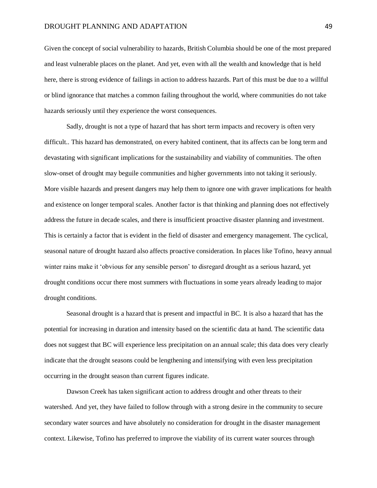Given the concept of social vulnerability to hazards, British Columbia should be one of the most prepared and least vulnerable places on the planet. And yet, even with all the wealth and knowledge that is held here, there is strong evidence of failings in action to address hazards. Part of this must be due to a willful or blind ignorance that matches a common failing throughout the world, where communities do not take hazards seriously until they experience the worst consequences.

Sadly, drought is not a type of hazard that has short term impacts and recovery is often very difficult.. This hazard has demonstrated, on every habited continent, that its affects can be long term and devastating with significant implications for the sustainability and viability of communities. The often slow-onset of drought may beguile communities and higher governments into not taking it seriously. More visible hazards and present dangers may help them to ignore one with graver implications for health and existence on longer temporal scales. Another factor is that thinking and planning does not effectively address the future in decade scales, and there is insufficient proactive disaster planning and investment. This is certainly a factor that is evident in the field of disaster and emergency management. The cyclical, seasonal nature of drought hazard also affects proactive consideration. In places like Tofino, heavy annual winter rains make it 'obvious for any sensible person' to disregard drought as a serious hazard, yet drought conditions occur there most summers with fluctuations in some years already leading to major drought conditions.

Seasonal drought is a hazard that is present and impactful in BC. It is also a hazard that has the potential for increasing in duration and intensity based on the scientific data at hand. The scientific data does not suggest that BC will experience less precipitation on an annual scale; this data does very clearly indicate that the drought seasons could be lengthening and intensifying with even less precipitation occurring in the drought season than current figures indicate.

Dawson Creek has taken significant action to address drought and other threats to their watershed. And yet, they have failed to follow through with a strong desire in the community to secure secondary water sources and have absolutely no consideration for drought in the disaster management context. Likewise, Tofino has preferred to improve the viability of its current water sources through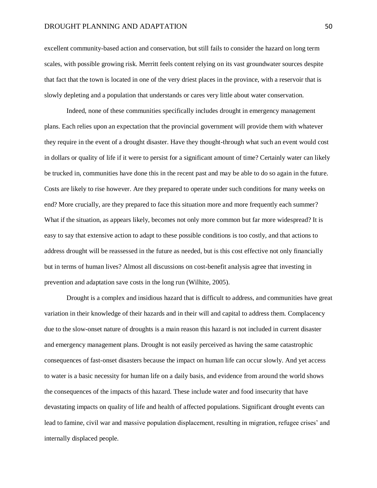#### DROUGHT PLANNING AND ADAPTATION 50

excellent community-based action and conservation, but still fails to consider the hazard on long term scales, with possible growing risk. Merritt feels content relying on its vast groundwater sources despite that fact that the town is located in one of the very driest places in the province, with a reservoir that is slowly depleting and a population that understands or cares very little about water conservation.

Indeed, none of these communities specifically includes drought in emergency management plans. Each relies upon an expectation that the provincial government will provide them with whatever they require in the event of a drought disaster. Have they thought-through what such an event would cost in dollars or quality of life if it were to persist for a significant amount of time? Certainly water can likely be trucked in, communities have done this in the recent past and may be able to do so again in the future. Costs are likely to rise however. Are they prepared to operate under such conditions for many weeks on end? More crucially, are they prepared to face this situation more and more frequently each summer? What if the situation, as appears likely, becomes not only more common but far more widespread? It is easy to say that extensive action to adapt to these possible conditions is too costly, and that actions to address drought will be reassessed in the future as needed, but is this cost effective not only financially but in terms of human lives? Almost all discussions on cost-benefit analysis agree that investing in prevention and adaptation save costs in the long run (Wilhite, 2005).

Drought is a complex and insidious hazard that is difficult to address, and communities have great variation in their knowledge of their hazards and in their will and capital to address them. Complacency due to the slow-onset nature of droughts is a main reason this hazard is not included in current disaster and emergency management plans. Drought is not easily perceived as having the same catastrophic consequences of fast-onset disasters because the impact on human life can occur slowly. And yet access to water is a basic necessity for human life on a daily basis, and evidence from around the world shows the consequences of the impacts of this hazard. These include water and food insecurity that have devastating impacts on quality of life and health of affected populations. Significant drought events can lead to famine, civil war and massive population displacement, resulting in migration, refugee crises' and internally displaced people.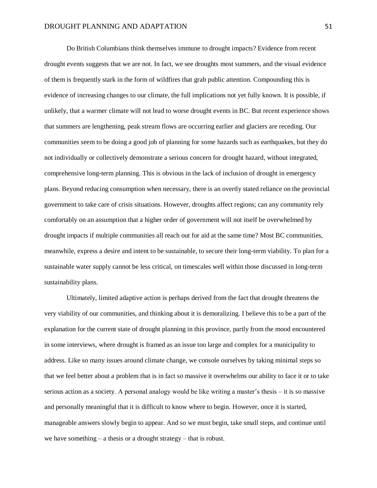Do British Columbians think themselves immune to drought impacts? Evidence from recent drought events suggests that we are not. In fact, we see droughts most summers, and the visual evidence of them is frequently stark in the form of wildfires that grab public attention. Compounding this is evidence of increasing changes to our climate, the full implications not yet fully known. It is possible, if unlikely, that a warmer climate will not lead to worse drought events in BC. But recent experience shows that summers are lengthening, peak stream flows are occurring earlier and glaciers are receding. Our communities seem to be doing a good job of planning for some hazards such as earthquakes, but they do not individually or collectively demonstrate a serious concern for drought hazard, without integrated, comprehensive long-term planning. This is obvious in the lack of inclusion of drought in emergency plans. Beyond reducing consumption when necessary, there is an overtly stated reliance on the provincial government to take care of crisis situations. However, droughts affect regions; can any community rely comfortably on an assumption that a higher order of government will not itself be overwhelmed by drought impacts if multiple communities all reach out for aid at the same time? Most BC communities, meanwhile, express a desire and intent to be sustainable, to secure their long-term viability. To plan for a sustainable water supply cannot be less critical, on timescales well within those discussed in long-term sustainability plans.

Ultimately, limited adaptive action is perhaps derived from the fact that drought threatens the very viability of our communities, and thinking about it is demoralizing. I believe this to be a part of the explanation for the current state of drought planning in this province, partly from the mood encountered in some interviews, where drought is framed as an issue too large and complex for a municipality to address. Like so many issues around climate change, we console ourselves by taking minimal steps so that we feel better about a problem that is in fact so massive it overwhelms our ability to face it or to take serious action as a society. A personal analogy would be like writing a master's thesis – it is so massive and personally meaningful that it is difficult to know where to begin. However, once it is started, manageable answers slowly begin to appear. And so we must begin, take small steps, and continue until we have something – a thesis or a drought strategy – that is robust.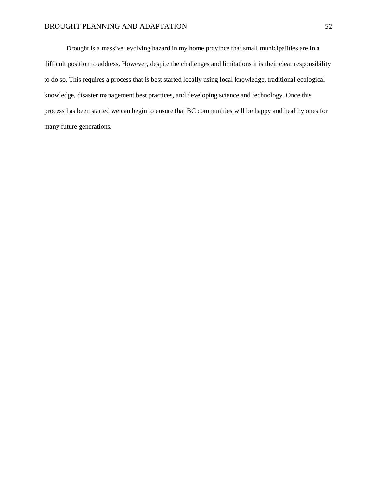## DROUGHT PLANNING AND ADAPTATION 52

Drought is a massive, evolving hazard in my home province that small municipalities are in a difficult position to address. However, despite the challenges and limitations it is their clear responsibility to do so. This requires a process that is best started locally using local knowledge, traditional ecological knowledge, disaster management best practices, and developing science and technology. Once this process has been started we can begin to ensure that BC communities will be happy and healthy ones for many future generations.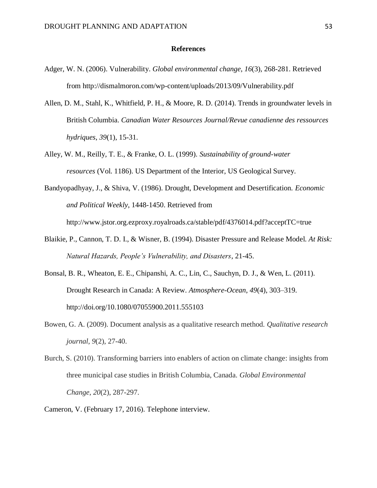## **References**

- <span id="page-52-0"></span>Adger, W. N. (2006). Vulnerability. *Global environmental change*, *16*(3), 268-281. Retrieved from http://dismalmoron.com/wp-content/uploads/2013/09/Vulnerability.pdf
- Allen, D. M., Stahl, K., Whitfield, P. H., & Moore, R. D. (2014). Trends in groundwater levels in British Columbia. *Canadian Water Resources Journal/Revue canadienne des ressources hydriques*, *39*(1), 15-31.
- Alley, W. M., Reilly, T. E., & Franke, O. L. (1999). *Sustainability of ground-water resources* (Vol. 1186). US Department of the Interior, US Geological Survey.
- Bandyopadhyay, J., & Shiva, V. (1986). Drought, Development and Desertification. *Economic and Political Weekly*, 1448-1450. Retrieved from

http://www.jstor.org.ezproxy.royalroads.ca/stable/pdf/4376014.pdf?acceptTC=true

- Blaikie, P., Cannon, T. D. I., & Wisner, B. (1994). Disaster Pressure and Release Model. *At Risk: Natural Hazards, People's Vulnerability, and Disasters*, 21-45.
- Bonsal, B. R., Wheaton, E. E., Chipanshi, A. C., Lin, C., Sauchyn, D. J., & Wen, L. (2011). Drought Research in Canada: A Review. *Atmosphere-Ocean*, *49*(4), 303–319. http://doi.org/10.1080/07055900.2011.555103
- Bowen, G. A. (2009). Document analysis as a qualitative research method. *Qualitative research journal*, *9*(2), 27-40.
- Burch, S. (2010). Transforming barriers into enablers of action on climate change: insights from three municipal case studies in British Columbia, Canada. *Global Environmental Change*, *20*(2), 287-297.
- Cameron, V. (February 17, 2016). Telephone interview.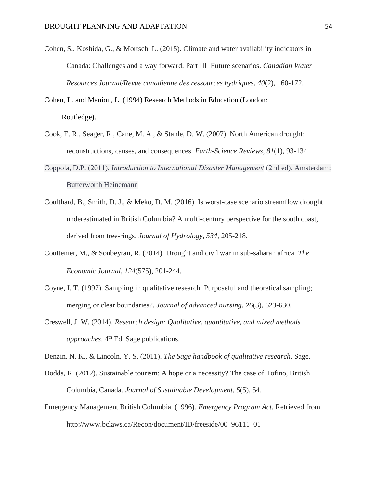Cohen, S., Koshida, G., & Mortsch, L. (2015). Climate and water availability indicators in Canada: Challenges and a way forward. Part III–Future scenarios. *Canadian Water Resources Journal/Revue canadienne des ressources hydriques*, *40*(2), 160-172.

Cohen, L. and Manion, L. (1994) Research Methods in Education (London: Routledge).

- Cook, E. R., Seager, R., Cane, M. A., & Stahle, D. W. (2007). North American drought: reconstructions, causes, and consequences. *Earth-Science Reviews*, *81*(1), 93-134.
- Coppola, D.P. (2011). *Introduction to International Disaster Management* (2nd ed). Amsterdam: Butterworth Heinemann
- Coulthard, B., Smith, D. J., & Meko, D. M. (2016). Is worst-case scenario streamflow drought underestimated in British Columbia? A multi-century perspective for the south coast, derived from tree-rings. *Journal of Hydrology*, *534*, 205-218.
- Couttenier, M., & Soubeyran, R. (2014). Drought and civil war in sub‐saharan africa. *The Economic Journal*, *124*(575), 201-244.
- Coyne, I. T. (1997). Sampling in qualitative research. Purposeful and theoretical sampling; merging or clear boundaries?. *Journal of advanced nursing*, *26*(3), 623-630.
- Creswell, J. W. (2014). *Research design: Qualitative, quantitative, and mixed methods approaches*. 4<sup>th</sup> Ed. Sage publications.

Denzin, N. K., & Lincoln, Y. S. (2011). *The Sage handbook of qualitative research*. Sage.

- Dodds, R. (2012). Sustainable tourism: A hope or a necessity? The case of Tofino, British Columbia, Canada. *Journal of Sustainable Development*, *5*(5), 54.
- Emergency Management British Columbia. (1996). *Emergency Program Act*. Retrieved from http://www.bclaws.ca/Recon/document/ID/freeside/00\_96111\_01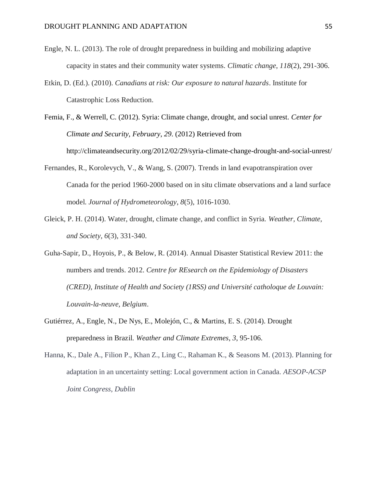- Engle, N. L. (2013). The role of drought preparedness in building and mobilizing adaptive capacity in states and their community water systems. *Climatic change*, *118*(2), 291-306.
- Etkin, D. (Ed.). (2010). *Canadians at risk: Our exposure to natural hazards*. Institute for Catastrophic Loss Reduction.
- Femia, F., & Werrell, C. (2012). Syria: Climate change, drought, and social unrest. *Center for Climate and Security, February*, *29*. (2012) Retrieved from http://climateandsecurity.org/2012/02/29/syria-climate-change-drought-and-social-unrest/
- Fernandes, R., Korolevych, V., & Wang, S. (2007). Trends in land evapotranspiration over Canada for the period 1960-2000 based on in situ climate observations and a land surface model. *Journal of Hydrometeorology*, *8*(5), 1016-1030.
- Gleick, P. H. (2014). Water, drought, climate change, and conflict in Syria. *Weather, Climate, and Society*, *6*(3), 331-340.
- Guha-Sapir, D., Hoyois, P., & Below, R. (2014). Annual Disaster Statistical Review 2011: the numbers and trends. 2012. *Centre for REsearch on the Epidemiology of Disasters (CRED), Institute of Health and Society (1RSS) and Université catholoque de Louvain: Louvain-la-neuve, Belgium*.
- Gutiérrez, A., Engle, N., De Nys, E., Molejón, C., & Martins, E. S. (2014). Drought preparedness in Brazil. *Weather and Climate Extremes*, *3*, 95-106.
- Hanna, K., Dale A., Filion P., Khan Z., Ling C., Rahaman K., & Seasons M. (2013). Planning for adaptation in an uncertainty setting: Local government action in Canada. *AESOP-ACSP Joint Congress, Dublin*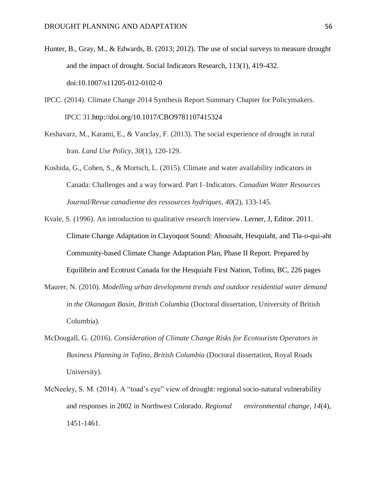- Hunter, B., Gray, M., & Edwards, B. (2013; 2012). The use of social surveys to measure drought and the impact of drought. Social Indicators Research, 113(1), 419-432. doi:10.1007/s11205-012-0102-0
- IPCC. (2014). Climate Change 2014 Synthesis Report Summary Chapter for Policymakers. IPCC 31.http://doi.org/10.1017/CBO9781107415324
- Keshavarz, M., Karami, E., & Vanclay, F. (2013). The social experience of drought in rural Iran. *Land Use Policy*, *30*(1), 120-129.
- Koshida, G., Cohen, S., & Mortsch, L. (2015). Climate and water availability indicators in Canada: Challenges and a way forward. Part I–Indicators. *Canadian Water Resources Journal/Revue canadienne des ressources hydriques*, *40*(2), 133-145.
- Kvale, S. (1996). An introduction to qualitative research interview. Lerner, J, Editor. 2011. Climate Change Adaptation in Clayoquot Sound: Ahousaht, Hesquiaht, and Tla-o-qui-aht Community-based Climate Change Adaptation Plan, Phase II Report. Prepared by Equilibrio and Ecotrust Canada for the Hesquiaht First Nation, Tofino, BC, 226 pages
- Maurer, N. (2010). *Modelling urban development trends and outdoor residential water demand in the Okanagan Basin, British Columbia* (Doctoral dissertation, University of British Columbia).
- McDougall, G. (2016). *Consideration of Climate Change Risks for Ecotourism Operators in Business Planning in Tofino, British Columbia* (Doctoral dissertation, Royal Roads University).
- McNeeley, S. M. (2014). A "toad's eye" view of drought: regional socio-natural vulnerability and responses in 2002 in Northwest Colorado. *Regional environmental change*, *14*(4), 1451-1461.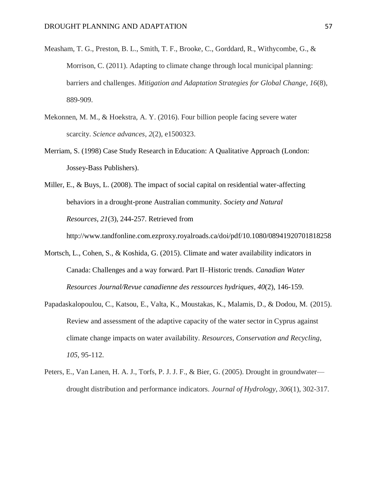- Measham, T. G., Preston, B. L., Smith, T. F., Brooke, C., Gorddard, R., Withycombe, G., & Morrison, C. (2011). Adapting to climate change through local municipal planning: barriers and challenges. *Mitigation and Adaptation Strategies for Global Change*, *16*(8), 889-909.
- Mekonnen, M. M., & Hoekstra, A. Y. (2016). Four billion people facing severe water scarcity. *Science advances*, *2*(2), e1500323.
- Merriam, S. (1998) Case Study Research in Education: A Qualitative Approach (London: Jossey-Bass Publishers).
- Miller, E., & Buys, L. (2008). The impact of social capital on residential water-affecting behaviors in a drought-prone Australian community. *Society and Natural Resources*, *21*(3), 244-257. Retrieved from

http://www.tandfonline.com.ezproxy.royalroads.ca/doi/pdf/10.1080/08941920701818258

- Mortsch, L., Cohen, S., & Koshida, G. (2015). Climate and water availability indicators in Canada: Challenges and a way forward. Part II–Historic trends. *Canadian Water Resources Journal/Revue canadienne des ressources hydriques*, *40*(2), 146-159.
- Papadaskalopoulou, C., Katsou, E., Valta, K., Moustakas, K., Malamis, D., & Dodou, M. (2015). Review and assessment of the adaptive capacity of the water sector in Cyprus against climate change impacts on water availability. *Resources, Conservation and Recycling*, *105*, 95-112.
- Peters, E., Van Lanen, H. A. J., Torfs, P. J. J. F., & Bier, G. (2005). Drought in groundwater drought distribution and performance indicators. *Journal of Hydrology*, *306*(1), 302-317.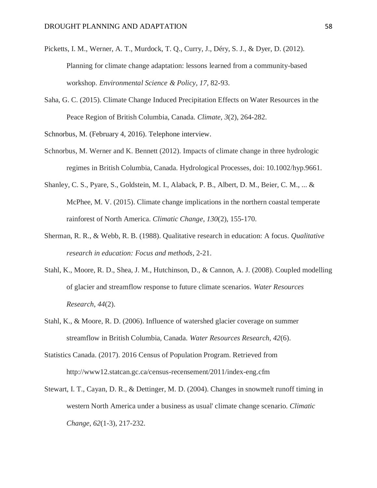- Picketts, I. M., Werner, A. T., Murdock, T. Q., Curry, J., Déry, S. J., & Dyer, D. (2012). Planning for climate change adaptation: lessons learned from a community-based workshop. *Environmental Science & Policy*, *17*, 82-93.
- Saha, G. C. (2015). Climate Change Induced Precipitation Effects on Water Resources in the Peace Region of British Columbia, Canada. *Climate*, *3*(2), 264-282.

Schnorbus, M. (February 4, 2016). Telephone interview.

- Schnorbus, M. Werner and K. Bennett (2012). Impacts of climate change in three hydrologic regimes in British Columbia, Canada. Hydrological Processes, doi: 10.1002/hyp.9661.
- Shanley, C. S., Pyare, S., Goldstein, M. I., Alaback, P. B., Albert, D. M., Beier, C. M., ... & McPhee, M. V. (2015). Climate change implications in the northern coastal temperate rainforest of North America. *Climatic Change*, *130*(2), 155-170.
- Sherman, R. R., & Webb, R. B. (1988). Qualitative research in education: A focus. *Qualitative research in education: Focus and methods*, 2-21.
- Stahl, K., Moore, R. D., Shea, J. M., Hutchinson, D., & Cannon, A. J. (2008). Coupled modelling of glacier and streamflow response to future climate scenarios. *Water Resources Research*, *44*(2).
- Stahl, K., & Moore, R. D. (2006). Influence of watershed glacier coverage on summer streamflow in British Columbia, Canada. *Water Resources Research*, *42*(6).
- Statistics Canada. (2017). 2016 Census of Population Program. Retrieved from http://www12.statcan.gc.ca/census-recensement/2011/index-eng.cfm
- Stewart, I. T., Cayan, D. R., & Dettinger, M. D. (2004). Changes in snowmelt runoff timing in western North America under a business as usual' climate change scenario. *Climatic Change*, *62*(1-3), 217-232.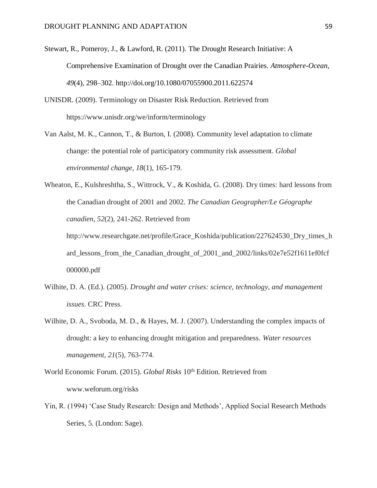- Stewart, R., Pomeroy, J., & Lawford, R. (2011). The Drought Research Initiative: A Comprehensive Examination of Drought over the Canadian Prairies. *Atmosphere-Ocean*, *49*(4), 298–302. http://doi.org/10.1080/07055900.2011.622574
- UNISDR. (2009). Terminology on Disaster Risk Reduction. Retrieved from https://www.unisdr.org/we/inform/terminology
- Van Aalst, M. K., Cannon, T., & Burton, I. (2008). Community level adaptation to climate change: the potential role of participatory community risk assessment. *Global environmental change*, *18*(1), 165-179.
- Wheaton, E., Kulshreshtha, S., Wittrock, V., & Koshida, G. (2008). Dry times: hard lessons from the Canadian drought of 2001 and 2002. *The Canadian Geographer/Le Géographe canadien*, *52*(2), 241-262. Retrieved from

- Wilhite, D. A. (Ed.). (2005). *Drought and water crises: science, technology, and management issues*. CRC Press.
- Wilhite, D. A., Svoboda, M. D., & Hayes, M. J. (2007). Understanding the complex impacts of drought: a key to enhancing drought mitigation and preparedness. *Water resources management*, *21*(5), 763-774.
- World Economic Forum. (2015). *Global Risks* 10<sup>th</sup> Edition. Retrieved from www.weforum.org/risks
- Yin, R. (1994) 'Case Study Research: Design and Methods', Applied Social Research Methods Series, 5. (London: Sage).

http://www.researchgate.net/profile/Grace\_Koshida/publication/227624530\_Dry\_times\_h ard\_lessons\_from\_the\_Canadian\_drought\_of\_2001\_and\_2002/links/02e7e52f1611ef0fcf 000000.pdf